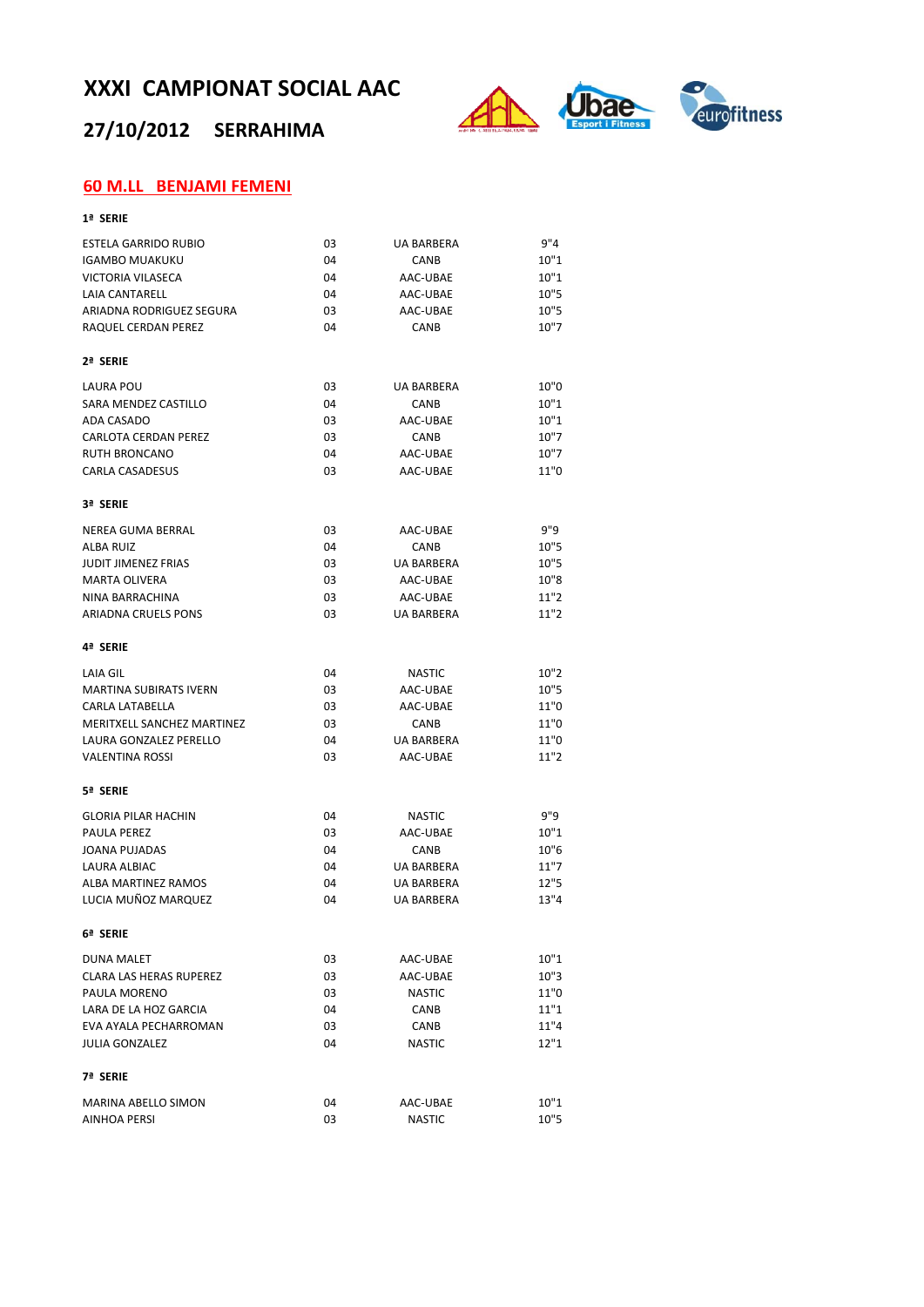## **27/10/2012 SERRAHIMA**



## **60 M.LL BENJAMI FEMENI**

| ×<br>۰. |  |
|---------|--|
|---------|--|

| ESTELA GARRIDO RUBIO           | 03 | <b>UA BARBERA</b> | 9''4 |
|--------------------------------|----|-------------------|------|
| <b>IGAMBO MUAKUKU</b>          | 04 | CANB              | 10"1 |
| <b>VICTORIA VILASECA</b>       | 04 | AAC-UBAE          | 10"1 |
| <b>LAIA CANTARELL</b>          | 04 | AAC-UBAE          | 10"5 |
| ARIADNA RODRIGUEZ SEGURA       | 03 | AAC-UBAE          | 10"5 |
| RAQUEL CERDAN PEREZ            | 04 | CANB              | 10"7 |
| 2ª SERIE                       |    |                   |      |
| <b>LAURA POU</b>               | 03 | <b>UA BARBERA</b> | 10"0 |
| SARA MENDEZ CASTILLO           | 04 | CANB              | 10"1 |
| ADA CASADO                     | 03 | AAC-UBAE          | 10"1 |
| <b>CARLOTA CERDAN PEREZ</b>    | 03 | CANB              | 10"7 |
| <b>RUTH BRONCANO</b>           | 04 | AAC-UBAE          | 10"7 |
| <b>CARLA CASADESUS</b>         | 03 | AAC-UBAE          | 11"0 |
| 3ª SERIE                       |    |                   |      |
| <b>NEREA GUMA BERRAL</b>       | 03 | AAC-UBAE          | 9"9  |
| <b>ALBA RUIZ</b>               | 04 | CANB              | 10"5 |
| <b>JUDIT JIMENEZ FRIAS</b>     | 03 | <b>UA BARBERA</b> | 10"5 |
| <b>MARTA OLIVERA</b>           | 03 | AAC-UBAE          | 10"8 |
| NINA BARRACHINA                | 03 | AAC-UBAE          | 11"2 |
| <b>ARIADNA CRUELS PONS</b>     | 03 | <b>UA BARBERA</b> | 11"2 |
| 4ª SERIE                       |    |                   |      |
| LAIA GIL                       | 04 | <b>NASTIC</b>     | 10"2 |
| <b>MARTINA SUBIRATS IVERN</b>  | 03 | AAC-UBAE          | 10"5 |
| <b>CARLA LATABELLA</b>         | 03 | AAC-UBAE          | 11"0 |
| MERITXELL SANCHEZ MARTINEZ     | 03 | CANB              | 11"0 |
| LAURA GONZALEZ PERELLO         | 04 | <b>UA BARBERA</b> | 11"0 |
| <b>VALENTINA ROSSI</b>         | 03 | AAC-UBAE          | 11"2 |
| 5ª SERIE                       |    |                   |      |
| <b>GLORIA PILAR HACHIN</b>     | 04 | <b>NASTIC</b>     | 9"9  |
| <b>PAULA PEREZ</b>             | 03 | AAC-UBAE          | 10"1 |
| <b>JOANA PUJADAS</b>           | 04 | CANB              | 10"6 |
| <b>LAURA ALBIAC</b>            | 04 | <b>UA BARBERA</b> | 11"7 |
| ALBA MARTINEZ RAMOS            | 04 | <b>UA BARBERA</b> | 12"5 |
| LUCIA MUÑOZ MARQUEZ            | 04 | <b>UA BARBERA</b> | 13"4 |
| 6ª SERIE                       |    |                   |      |
| <b>DUNA MALET</b>              | 03 | AAC-UBAE          | 10"1 |
| <b>CLARA LAS HERAS RUPEREZ</b> | 03 | AAC-UBAE          | 10"3 |
| PAULA MORENO                   | 03 | <b>NASTIC</b>     | 11"0 |
| LARA DE LA HOZ GARCIA          | 04 | CANB              | 11"1 |
| EVA AYALA PECHARROMAN          | 03 | CANB              | 11"4 |
| <b>JULIA GONZALEZ</b>          | 04 | <b>NASTIC</b>     | 12"1 |
| 7ª SERIE                       |    |                   |      |
| <b>MARINA ABELLO SIMON</b>     | 04 | AAC-UBAE          | 10"1 |
| AINHOA PERSI                   | 03 | <b>NASTIC</b>     | 10"5 |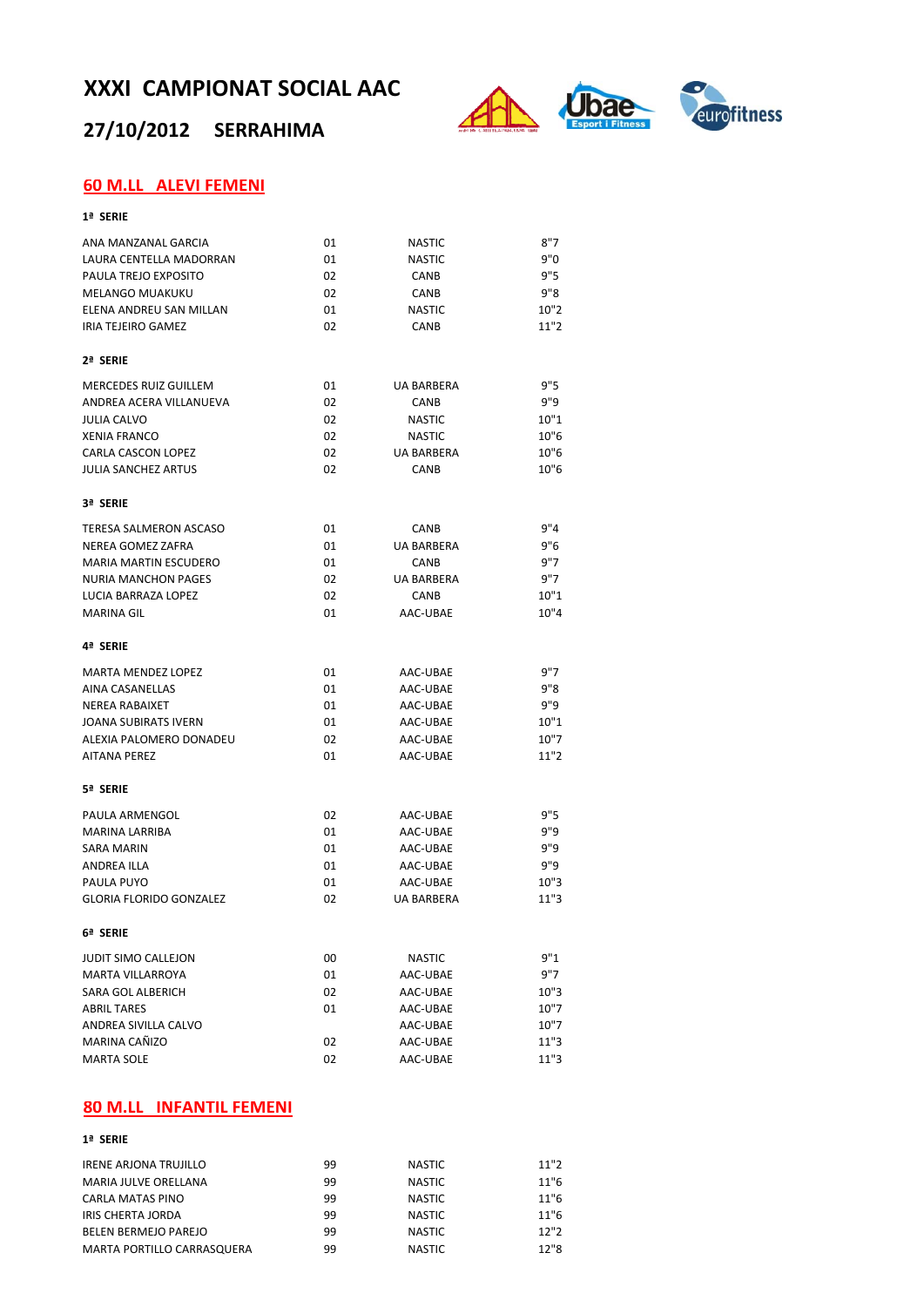## **27/10/2012 SERRAHIMA**



## **60 M.LL ALEVI FEMENI**

| ANA MANZANAL GARCIA            | 01 | <b>NASTIC</b>     | 8"7  |
|--------------------------------|----|-------------------|------|
| LAURA CENTELLA MADORRAN        | 01 | <b>NASTIC</b>     | 9"0  |
| PAULA TREJO EXPOSITO           | 02 | CANB              | 9"5  |
| <b>MELANGO MUAKUKU</b>         | 02 | CANB              | 9"8  |
| ELENA ANDREU SAN MILLAN        | 01 | <b>NASTIC</b>     | 10"2 |
| <b>IRIA TEJEIRO GAMEZ</b>      | 02 | CANB              | 11"2 |
| 2ª SERIE                       |    |                   |      |
| MERCEDES RUIZ GUILLEM          | 01 | <b>UA BARBERA</b> | 9"5  |
| ANDREA ACERA VILLANUEVA        | 02 | CANB              | 9"9  |
| <b>JULIA CALVO</b>             | 02 | <b>NASTIC</b>     | 10"1 |
| <b>XENIA FRANCO</b>            | 02 | <b>NASTIC</b>     | 10"6 |
| <b>CARLA CASCON LOPEZ</b>      | 02 | <b>UA BARBERA</b> | 10"6 |
| <b>JULIA SANCHEZ ARTUS</b>     | 02 | CANB              | 10"6 |
| 3ª SERIE                       |    |                   |      |
| <b>TERESA SALMERON ASCASO</b>  | 01 | CANB              | 9''4 |
| NEREA GOMEZ ZAFRA              | 01 | <b>UA BARBERA</b> | 9"6  |
| <b>MARIA MARTIN ESCUDERO</b>   | 01 | CANB              | 9"7  |
| <b>NURIA MANCHON PAGES</b>     | 02 | <b>UA BARBERA</b> | 9"7  |
| LUCIA BARRAZA LOPEZ            | 02 | CANB              | 10"1 |
| <b>MARINA GIL</b>              | 01 | AAC-UBAE          | 10"4 |
| 4ª SERIE                       |    |                   |      |
| <b>MARTA MENDEZ LOPEZ</b>      | 01 | AAC-UBAE          | 9"7  |
| <b>AINA CASANELLAS</b>         | 01 | AAC-UBAE          | 9"8  |
| <b>NEREA RABAIXET</b>          | 01 | AAC-UBAE          | 9"9  |
| <b>JOANA SUBIRATS IVERN</b>    | 01 | AAC-UBAE          | 10"1 |
| ALEXIA PALOMERO DONADEU        | 02 | AAC-UBAE          | 10"7 |
| <b>AITANA PEREZ</b>            | 01 | AAC-UBAE          | 11"2 |
| 5ª SERIE                       |    |                   |      |
| PAULA ARMENGOL                 | 02 | AAC-UBAE          | 9"5  |
| <b>MARINA LARRIBA</b>          | 01 | AAC-UBAE          | 9"9  |
| <b>SARA MARIN</b>              | 01 | AAC-UBAE          | 9"9  |
| <b>ANDREA ILLA</b>             | 01 | AAC-UBAE          | 9"9  |
| PAULA PUYO                     | 01 | AAC-UBAE          | 10"3 |
| <b>GLORIA FLORIDO GONZALEZ</b> | 02 | <b>UA BARBERA</b> | 11"3 |
| 6ª SERIE                       |    |                   |      |
| <b>JUDIT SIMO CALLEJON</b>     | 00 | <b>NASTIC</b>     | 9"1  |
| MARTA VILLARROYA               | 01 | AAC-UBAE          | 9"7  |
| <b>SARA GOL ALBERICH</b>       | 02 | AAC-UBAE          | 10"3 |
| <b>ABRIL TARES</b>             | 01 | AAC-UBAE          | 10"7 |
| ANDREA SIVILLA CALVO           |    | AAC-UBAE          | 10"7 |
| MARINA CAÑIZO                  | 02 | AAC-UBAE          | 11"3 |
| <b>MARTA SOLE</b>              | 02 | AAC-UBAE          | 11"3 |

#### **80 M.LL INFANTIL FEMENI**

#### **1ª SERIE**

| <b>IRENE ARJONA TRUJILLO</b> | 99 | NASTIC        | 11"2 |
|------------------------------|----|---------------|------|
| MARIA JULVE ORELLANA         | 99 | NASTIC        | 11"6 |
| CARLA MATAS PINO             | 99 | <b>NASTIC</b> | 11"6 |
| <b>IRIS CHERTA JORDA</b>     | 99 | <b>NASTIC</b> | 11"6 |
| <b>BELEN BERMEJO PAREJO</b>  | 99 | <b>NASTIC</b> | 12"2 |
| MARTA PORTILLO CARRASQUERA   | 99 | <b>NASTIC</b> | 12"8 |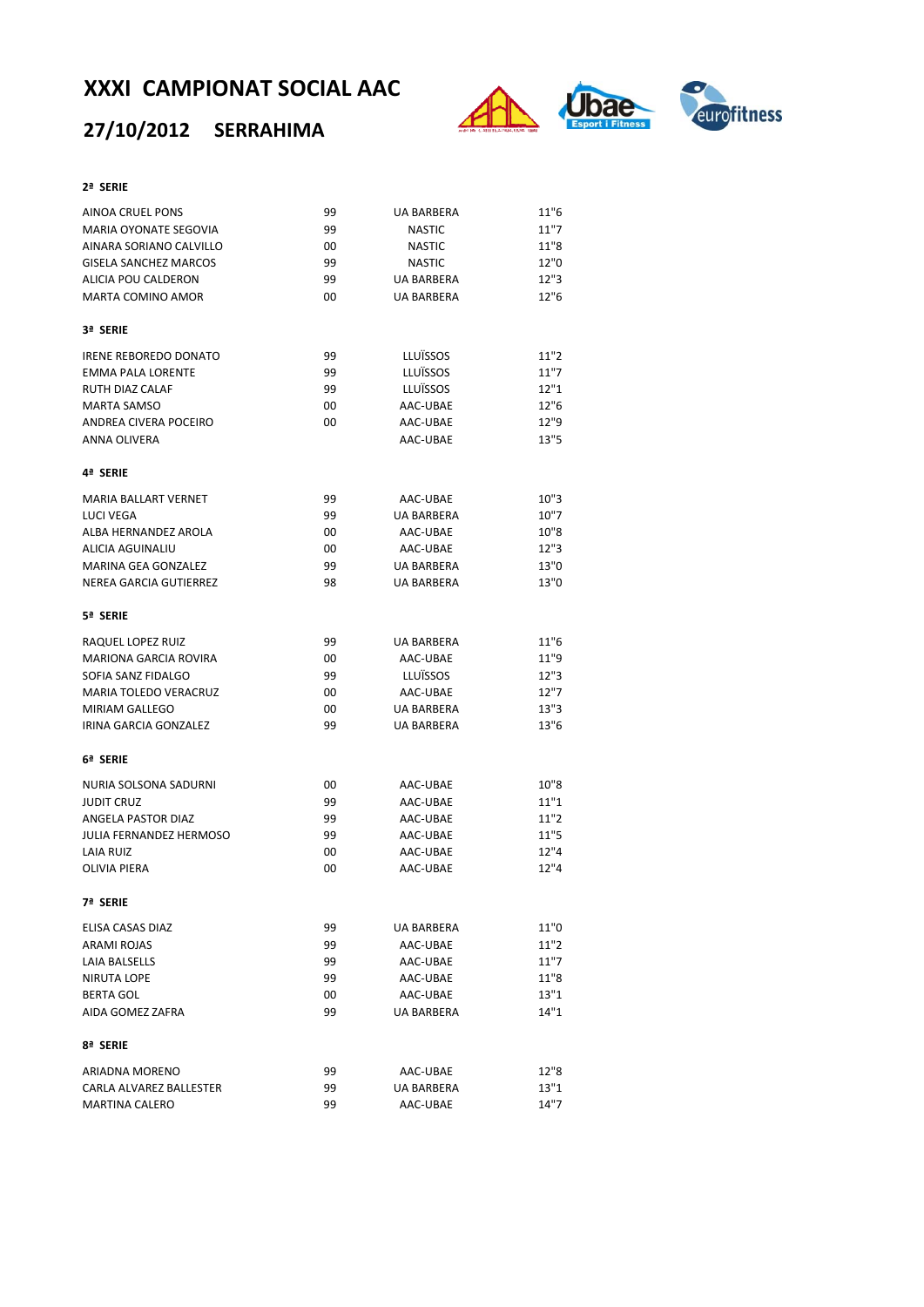## **27/10/2012 SERRAHIMA**



#### **2ª SERIE**

| AINOA CRUEL PONS               | 99 | <b>UA BARBERA</b> | 11"6 |
|--------------------------------|----|-------------------|------|
| <b>MARIA OYONATE SEGOVIA</b>   | 99 | <b>NASTIC</b>     | 11"7 |
| AINARA SORIANO CALVILLO        | 00 | <b>NASTIC</b>     | 11"8 |
| <b>GISELA SANCHEZ MARCOS</b>   | 99 | <b>NASTIC</b>     | 12"0 |
| ALICIA POU CALDERON            | 99 | <b>UA BARBERA</b> | 12"3 |
| <b>MARTA COMINO AMOR</b>       | 00 | <b>UA BARBERA</b> | 12"6 |
| 3ª SERIE                       |    |                   |      |
| <b>IRENE REBOREDO DONATO</b>   | 99 | LLUÏSSOS          | 11"2 |
| <b>EMMA PALA LORENTE</b>       | 99 | <b>LLUÏSSOS</b>   | 11"7 |
| <b>RUTH DIAZ CALAF</b>         | 99 | LLUÏSSOS          | 12"1 |
| <b>MARTA SAMSO</b>             | 00 | AAC-UBAE          | 12"6 |
| ANDREA CIVERA POCEIRO          | 00 | AAC-UBAE          | 12"9 |
| ANNA OLIVERA                   |    | AAC-UBAE          | 13"5 |
| 4ª SERIE                       |    |                   |      |
| MARIA BALLART VERNET           | 99 | AAC-UBAE          | 10"3 |
| LUCI VEGA                      | 99 | <b>UA BARBERA</b> | 10"7 |
| ALBA HERNANDEZ AROLA           | 00 | AAC-UBAE          | 10"8 |
| ALICIA AGUINALIU               | 00 | AAC-UBAE          | 12"3 |
| MARINA GEA GONZALEZ            | 99 | <b>UA BARBERA</b> | 13"0 |
| NEREA GARCIA GUTIERREZ         | 98 | <b>UA BARBERA</b> | 13"0 |
| 5ª SERIE                       |    |                   |      |
| RAQUEL LOPEZ RUIZ              | 99 | <b>UA BARBERA</b> | 11"6 |
| <b>MARIONA GARCIA ROVIRA</b>   | 00 | AAC-UBAE          | 11"9 |
| SOFIA SANZ FIDALGO             | 99 | LLUÏSSOS          | 12"3 |
| <b>MARIA TOLEDO VERACRUZ</b>   | 00 | AAC-UBAE          | 12"7 |
| <b>MIRIAM GALLEGO</b>          | 00 | <b>UA BARBERA</b> | 13"3 |
| IRINA GARCIA GONZALEZ          | 99 | <b>UA BARBERA</b> | 13"6 |
| 6ª SERIE                       |    |                   |      |
| NURIA SOLSONA SADURNI          | 00 | AAC-UBAE          | 10"8 |
| <b>JUDIT CRUZ</b>              | 99 | AAC-UBAE          | 11"1 |
| ANGELA PASTOR DIAZ             | 99 | AAC-UBAE          | 11"2 |
| <b>JULIA FERNANDEZ HERMOSO</b> | 99 | AAC-UBAE          | 11"5 |
| LAIA RUIZ                      | 00 | AAC-UBAE          | 12"4 |
| <b>OLIVIA PIERA</b>            | 00 | AAC-UBAE          | 12"4 |
| 7ª SERIE                       |    |                   |      |
| ELISA CASAS DIAZ               | 99 | UA BARBERA        | 11"0 |
| <b>ARAMI ROJAS</b>             | 99 | AAC-UBAE          | 11"2 |
| LAIA BALSELLS                  | 99 | AAC-UBAE          | 11"7 |
| <b>NIRUTA LOPE</b>             | 99 | AAC-UBAE          | 11"8 |
| <b>BERTA GOL</b>               | 00 | AAC-UBAE          | 13"1 |
| AIDA GOMEZ ZAFRA               | 99 | <b>UA BARBERA</b> | 14"1 |
| 8ª SERIE                       |    |                   |      |
| <b>ARIADNA MORENO</b>          | 99 | AAC-UBAE          | 12"8 |
| CARLA ALVAREZ BALLESTER        | 99 | <b>UA BARBERA</b> | 13"1 |
| <b>MARTINA CALERO</b>          | 99 | AAC-UBAE          | 14"7 |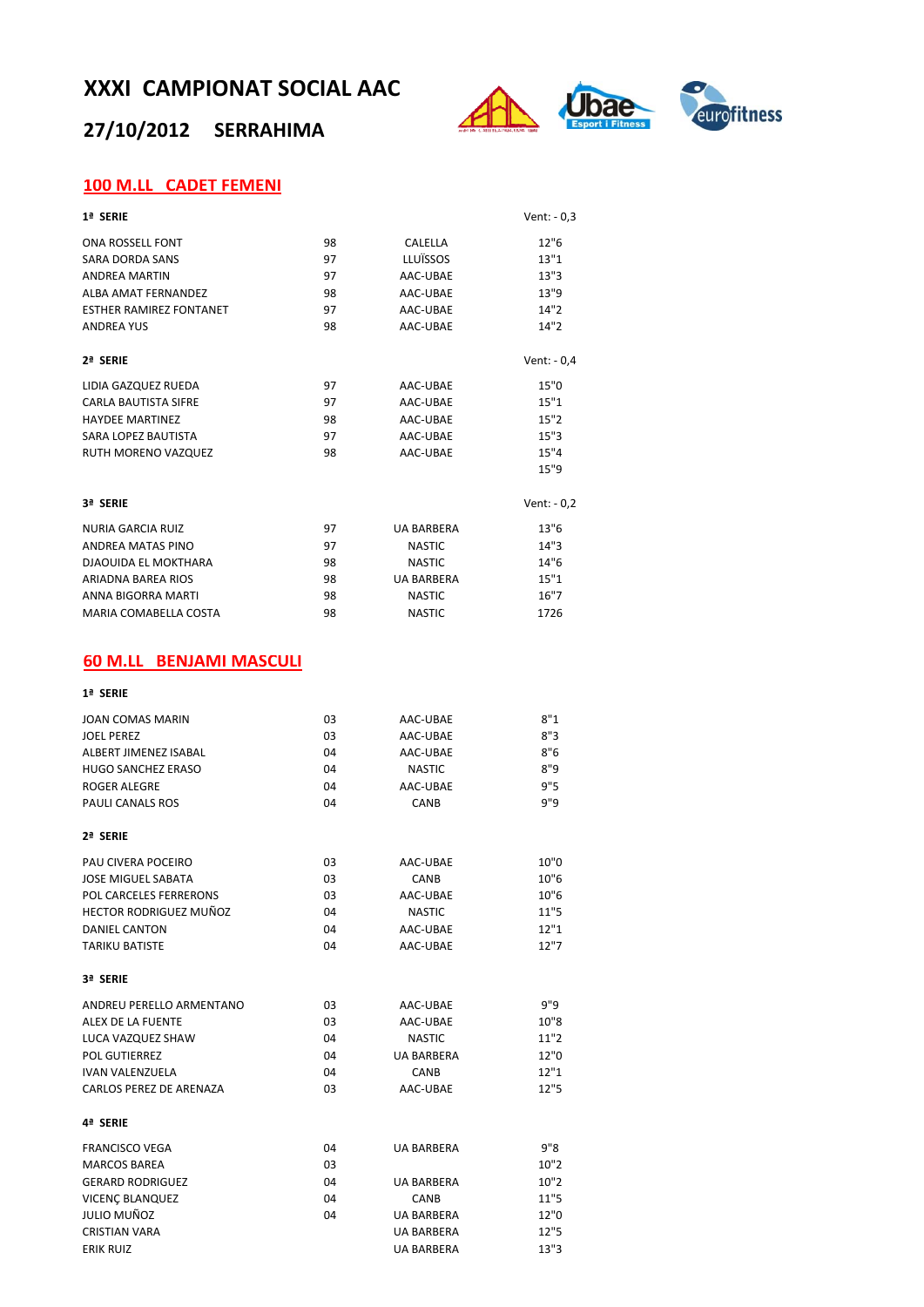## **27/10/2012 SERRAHIMA**



### **100 M.LL CADET FEMENI**

| 1ª SERIE                                       |          |                   | Vent: $-0,3$ |
|------------------------------------------------|----------|-------------------|--------------|
| <b>ONA ROSSELL FONT</b>                        | 98       | CALELLA           | 12"6         |
| SARA DORDA SANS                                | 97       | LLUÏSSOS          | 13"1         |
| <b>ANDREA MARTIN</b>                           | 97       | AAC-UBAE          | 13"3         |
| ALBA AMAT FERNANDEZ                            | 98       | AAC-UBAE          | 13"9         |
| <b>ESTHER RAMIREZ FONTANET</b>                 | 97       | AAC-UBAE          | 14"2         |
| <b>ANDREA YUS</b>                              | 98       | AAC-UBAE          | 14"2         |
| 2ª SERIE                                       |          |                   | Vent: $-0,4$ |
| LIDIA GAZQUEZ RUEDA                            | 97       | AAC-UBAE          | 15"0         |
| <b>CARLA BAUTISTA SIFRE</b>                    | 97       | AAC-UBAE          | 15"1         |
| <b>HAYDEE MARTINEZ</b>                         | 98       | AAC-UBAE          | 15"2         |
| <b>SARA LOPEZ BAUTISTA</b>                     | 97       | AAC-UBAE          | 15"3         |
| RUTH MORENO VAZQUEZ                            | 98       | AAC-UBAE          | 15"4         |
|                                                |          |                   | 15"9         |
| 3ª SFRIF                                       |          |                   | Vent: - 0,2  |
| <b>NURIA GARCIA RUIZ</b>                       | 97       | <b>UA BARBERA</b> | 13"6         |
| ANDREA MATAS PINO                              | 97       | <b>NASTIC</b>     | 14"3         |
| DJAOUIDA EL MOKTHARA                           | 98       | <b>NASTIC</b>     | 14"6         |
| ARIADNA BAREA RIOS                             | 98       | <b>UA BARBERA</b> | 15"1         |
| ANNA BIGORRA MARTI                             | 98       | <b>NASTIC</b>     | 16"7         |
| MARIA COMABELLA COSTA                          | 98       | <b>NASTIC</b>     | 1726         |
| <b>60 M.LL BENJAMI MASCULI</b>                 |          |                   |              |
| 1ª SERIE                                       |          |                   |              |
| JOAN COMAS MARIN                               | 03       | AAC-UBAE          | 8"1          |
| <b>JOEL PEREZ</b>                              | 03       | AAC-UBAE          | 8"3          |
| ALBERT JIMENEZ ISABAL                          | 04       | AAC-UBAE          | 8"6          |
| HUGO SANCHEZ ERASO                             | 04       | <b>NASTIC</b>     | 8"9          |
| ROGER ALEGRE                                   | 04       | AAC-UBAE          | 9"5          |
| <b>PAULI CANALS ROS</b>                        | 04       | CANB              | 9"9          |
| 2ª SERIE                                       |          |                   |              |
|                                                |          |                   |              |
| PAU CIVERA POCEIRO                             | 03       | AAC-UBAE          | 10"0         |
| <b>JOSE MIGUEL SABATA</b>                      | 03       | CANB              | 10"6         |
| POL CARCELES FERRERONS                         | 03       | AAC-UBAE          | 10"6         |
| HECTOR RODRIGUEZ MUÑOZ<br><b>DANIEL CANTON</b> | 04       | <b>NASTIC</b>     | 11"5<br>12"1 |
|                                                | 04<br>04 | AAC-UBAE          | 12"7         |
| <b>TARIKU BATISTE</b>                          |          | AAC-UBAE          |              |
| 3ª SERIE                                       |          |                   |              |
| ANDREU PERELLO ARMENTANO                       | 03       | AAC-UBAE          | 9"9          |
| ALEX DE LA FUENTE                              | 03       | AAC-UBAE          | 10"8         |
| LUCA VAZQUEZ SHAW                              | 04       | <b>NASTIC</b>     | 11"2         |
| POL GUTIERREZ                                  | 04       | <b>UA BARBERA</b> | 12"0         |
| <b>IVAN VALENZUELA</b>                         | 04       | CANB              | 12"1         |
| CARLOS PEREZ DE ARENAZA                        | 03       | AAC-UBAE          | 12"5         |
| 4ª SERIE                                       |          |                   |              |
| <b>FRANCISCO VEGA</b>                          | 04       | UA BARBERA        | 9"8          |
| MARCOS BAREA                                   | 03       |                   | 10"2         |
| <b>GERARD RODRIGUEZ</b>                        | 04       | UA BARBERA        | 10"2         |
| VICENÇ BLANQUEZ                                | 04       | CANB              | 11"5         |
| JULIO MUÑOZ                                    | 04       | <b>UA BARBERA</b> | 12"0         |
| <b>CRISTIAN VARA</b>                           |          | UA BARBERA        | 12"5         |
| ERIK RUIZ                                      |          | UA BARBERA        | 13"3         |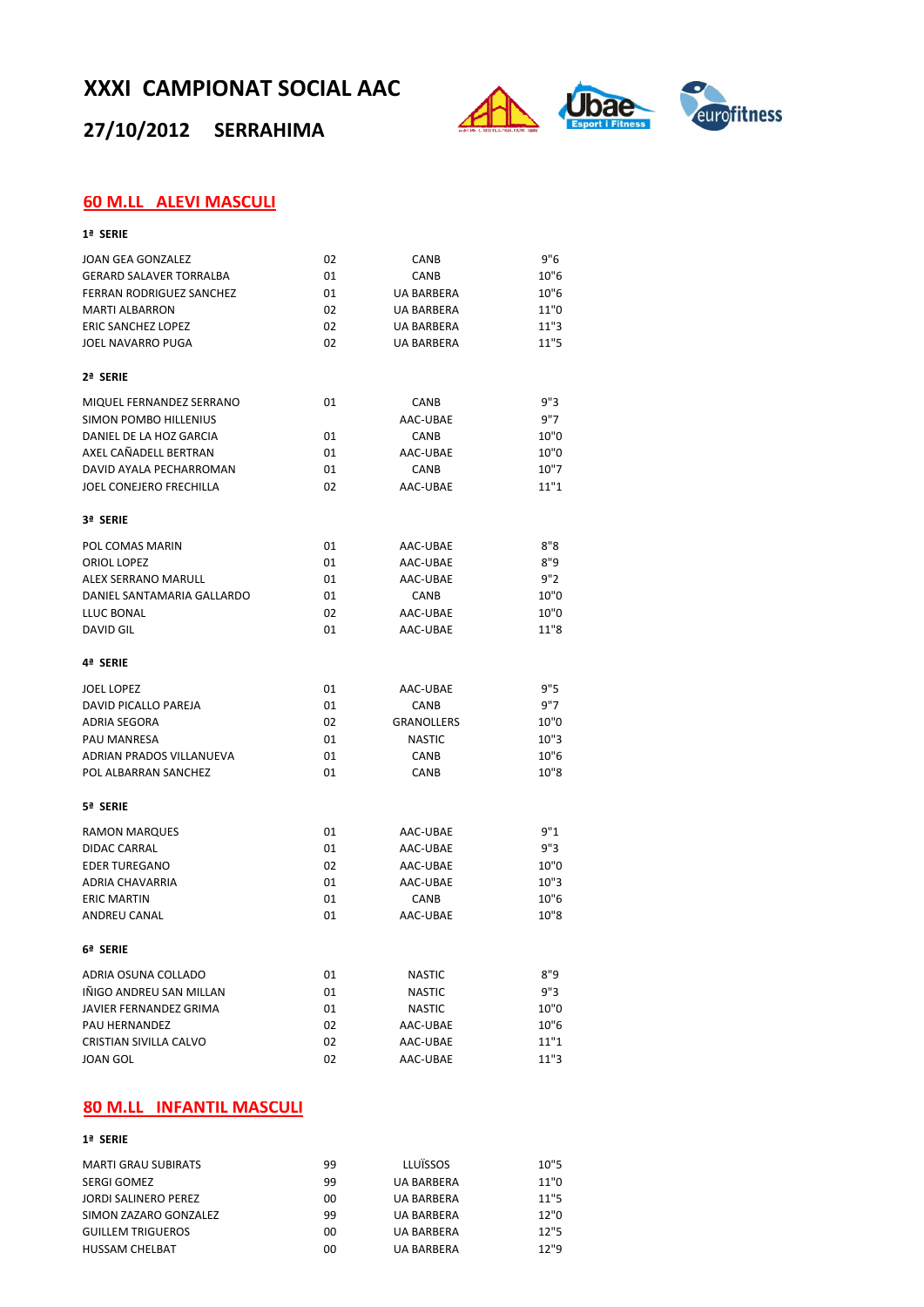**27/10/2012 SERRAHIMA**



#### **60 M.LL ALEVI MASCULI**

| 1ª SERIE                                         |          |                      |              |
|--------------------------------------------------|----------|----------------------|--------------|
| <b>JOAN GEA GONZALEZ</b>                         | 02       | <b>CANB</b>          | 9"6          |
| <b>GERARD SALAVER TORRALBA</b>                   | 01       | CANB                 | 10"6         |
| <b>FERRAN RODRIGUEZ SANCHEZ</b>                  | 01       | <b>UA BARBERA</b>    | 10"6         |
| <b>MARTI ALBARRON</b>                            | 02       | <b>UA BARBERA</b>    | 11"0         |
| <b>ERIC SANCHEZ LOPEZ</b>                        | 02       | <b>UA BARBERA</b>    | 11"3         |
| JOEL NAVARRO PUGA                                | 02       | <b>UA BARBERA</b>    | 11"5         |
| 2ª SERIE                                         |          |                      |              |
| MIQUEL FERNANDEZ SERRANO                         | 01       | CANB                 | 9"3          |
| SIMON POMBO HILLENIUS                            |          | AAC-UBAE             | 9"7          |
| DANIEL DE LA HOZ GARCIA                          | 01       | <b>CANB</b>          | 10"0         |
| AXEL CAÑADELL BERTRAN                            | 01       | AAC-UBAE             | 10"0         |
| DAVID AYALA PECHARROMAN                          | 01       | <b>CANB</b>          | 10"7         |
| <b>JOEL CONEJERO FRECHILLA</b>                   | 02       | AAC-UBAE             | 11"1         |
| 3ª SERIE                                         |          |                      |              |
| POL COMAS MARIN                                  | 01       | AAC-UBAE             | 8"8          |
| ORIOL LOPEZ                                      | 01       | AAC-UBAE             | 8"9          |
| <b>ALEX SERRANO MARULL</b>                       | 01       | AAC-UBAE             | 9"2          |
| DANIEL SANTAMARIA GALLARDO                       | 01       | CANB                 | 10"0         |
| LLUC BONAL                                       | 02       | AAC-UBAE             | 10"0         |
| DAVID GIL                                        | 01       | AAC-UBAE             | 11"8         |
| 4ª SERIE                                         |          |                      |              |
| <b>JOEL LOPEZ</b>                                | 01       | AAC-UBAE             | 9"5          |
| DAVID PICALLO PAREJA                             | 01       | <b>CANB</b>          | 9"7          |
| <b>ADRIA SEGORA</b>                              | 02       | <b>GRANOLLERS</b>    | 10"0         |
| PAU MANRESA                                      | 01       | <b>NASTIC</b>        | 10"3         |
| ADRIAN PRADOS VILLANUEVA                         | 01       | CANB                 | 10"6         |
| POL ALBARRAN SANCHEZ                             | 01       | <b>CANB</b>          | 10"8         |
| 5ª SERIE                                         |          |                      |              |
| <b>RAMON MARQUES</b>                             | 01       | AAC-UBAE             | 9"1          |
| DIDAC CARRAL                                     | 01       | AAC-UBAE             | 9"3          |
| <b>EDER TUREGANO</b>                             | 02       | AAC-UBAE             | 10"0         |
| ADRIA CHAVARRIA                                  | 01       | AAC-UBAE             | 10"3         |
|                                                  |          |                      |              |
| <b>ERIC MARTIN</b>                               | 01       | <b>CANB</b>          | 10"6         |
| <b>ANDREU CANAL</b>                              | 01       | AAC-UBAE             | 10"8         |
| 6ª SERIE                                         |          |                      |              |
| ADRIA OSUNA COLLADO                              | 01       | <b>NASTIC</b>        | 8"9          |
| IÑIGO ANDREU SAN MILLAN                          | 01       | <b>NASTIC</b>        | 9"3          |
| JAVIER FERNANDEZ GRIMA                           | 01       | <b>NASTIC</b>        | 10"0         |
| PAU HERNANDEZ                                    | 02       | AAC-UBAE             | 10"6         |
| <b>CRISTIAN SIVILLA CALVO</b><br><b>JOAN GOL</b> | 02<br>02 | AAC-UBAE<br>AAC-UBAE | 11"1<br>11"3 |

#### **80 M.LL INFANTIL MASCULI**

#### **1ª SERIE**

| <b>MARTI GRAU SUBIRATS</b> | 99 | <b>LLUÏSSOS</b>   | 10"5 |
|----------------------------|----|-------------------|------|
| SERGI GOMEZ                | 99 | <b>UA BARBERA</b> | 11"0 |
| JORDI SALINERO PEREZ       | 00 | <b>UA BARBERA</b> | 11"5 |
| SIMON ZAZARO GONZALEZ      | 99 | <b>UA BARBERA</b> | 12"0 |
| <b>GUILLEM TRIGUEROS</b>   | 00 | <b>UA BARBERA</b> | 12"5 |
| <b>HUSSAM CHELBAT</b>      | 00 | <b>UA BARBERA</b> | 12"9 |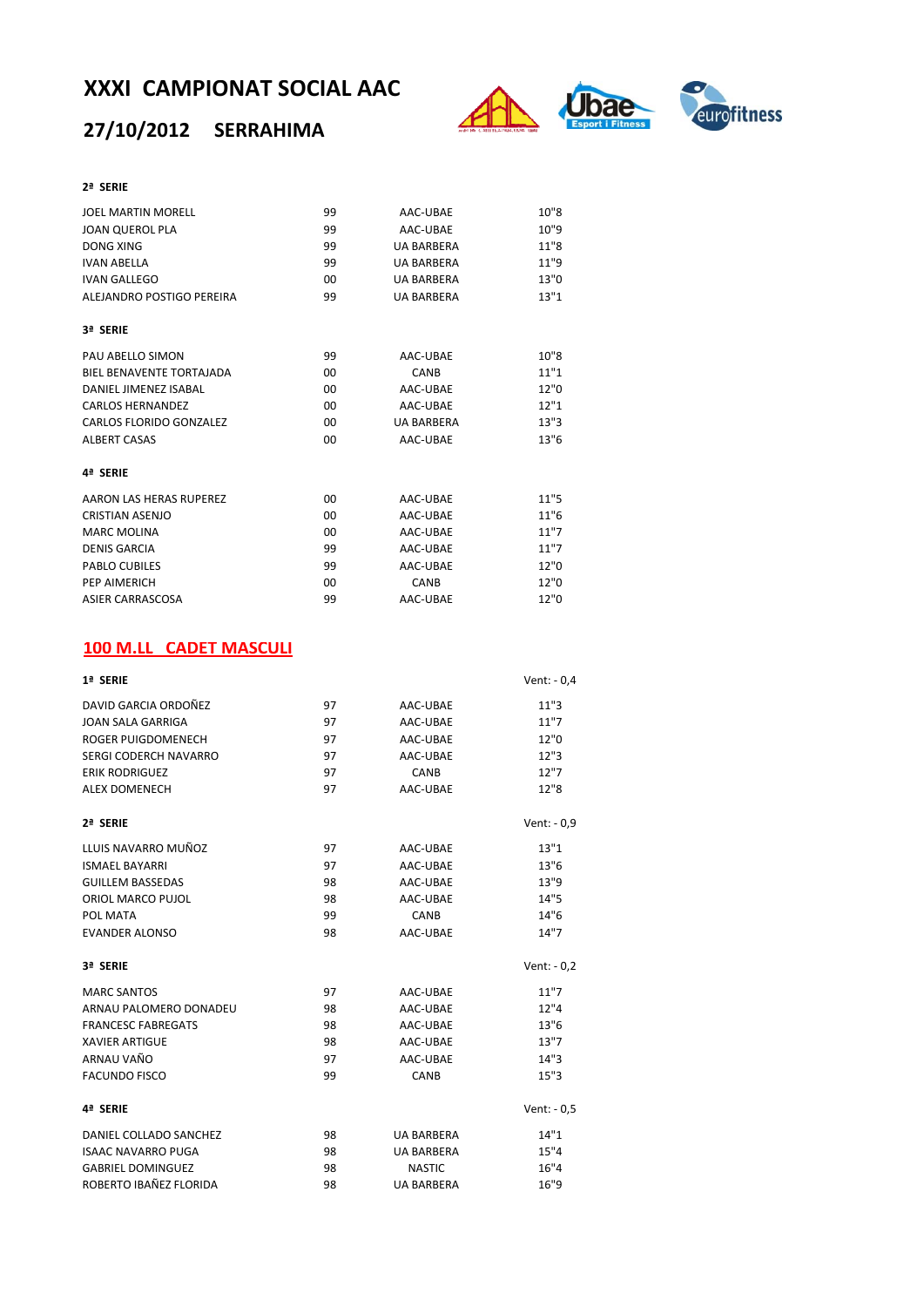## **27/10/2012 SERRAHIMA**



#### **2ª SERIE**

| <b>JOEL MARTIN MORELL</b>       | 99      | AAC-UBAE          | 10"8 |
|---------------------------------|---------|-------------------|------|
| <b>JOAN QUEROL PLA</b>          | 99      | AAC-UBAE          | 10"9 |
| <b>DONG XING</b>                | 99      | <b>UA BARBERA</b> | 11"8 |
| <b>IVAN ABELLA</b>              | 99      | <b>UA BARBERA</b> | 11"9 |
| <b>IVAN GALLEGO</b>             | 00      | <b>UA BARBERA</b> | 13"0 |
| ALEJANDRO POSTIGO PEREIRA       | 99      | <b>UA BARBERA</b> | 13"1 |
| 3ª SERIE                        |         |                   |      |
| PAU ABELLO SIMON                | 99      | AAC-UBAE          | 10"8 |
| <b>BIEL BENAVENTE TORTAJADA</b> | $00 \,$ | CANB              | 11"1 |
| DANIEL JIMENEZ ISABAL           | 00      | AAC-UBAE          | 12"0 |
| <b>CARLOS HERNANDEZ</b>         | 00      | AAC-UBAE          | 12"1 |
| CARLOS FLORIDO GONZALEZ         | 00      | <b>UA BARBERA</b> | 13"3 |
| <b>ALBERT CASAS</b>             | 00      | AAC-UBAE          | 13"6 |
| 4ª SERIE                        |         |                   |      |
| AARON LAS HERAS RUPEREZ         | $00 \,$ | AAC-UBAE          | 11"5 |
| <b>CRISTIAN ASENJO</b>          | 00      | AAC-UBAE          | 11"6 |
| <b>MARC MOLINA</b>              | 00      | AAC-UBAE          | 11"7 |
| <b>DENIS GARCIA</b>             | 99      | AAC-UBAE          | 11"7 |
| <b>PABLO CUBILES</b>            | 99      | AAC-UBAE          | 12"0 |
| PEP AIMERICH                    | 00      | CANB              | 12"0 |
| ASIER CARRASCOSA                | 99      | AAC-UBAE          | 12"0 |

### **100 M.LL CADET MASCULI**

| 1ª SERIE                  |    |                   | Vent: $-0.4$ |
|---------------------------|----|-------------------|--------------|
| DAVID GARCIA ORDOÑEZ      | 97 | AAC-UBAE          | 11"3         |
| JOAN SALA GARRIGA         | 97 | AAC-UBAE          | 11"7         |
| ROGER PUIGDOMENECH        | 97 | AAC-UBAE          | 12"0         |
| SERGI CODERCH NAVARRO     | 97 | AAC-UBAE          | 12"3         |
| <b>ERIK RODRIGUEZ</b>     | 97 | CANB              | 12"7         |
| <b>ALEX DOMENECH</b>      | 97 | AAC-UBAE          | 12"8         |
| 2ª SERIE                  |    |                   | Vent: - 0,9  |
| LLUIS NAVARRO MUÑOZ       | 97 | AAC-UBAE          | 13"1         |
| <b>ISMAEL BAYARRI</b>     | 97 | AAC-UBAE          | 13"6         |
| <b>GUILLEM BASSEDAS</b>   | 98 | AAC-UBAE          | 13"9         |
| ORIOL MARCO PUJOL         | 98 | AAC-UBAE          | 14"5         |
| POL MATA                  | 99 | CANB              | 14"6         |
| <b>EVANDER ALONSO</b>     | 98 | AAC-UBAE          | 14"7         |
| 3ª SERIE                  |    |                   | Vent: $-0.2$ |
| <b>MARC SANTOS</b>        | 97 | AAC-UBAE          | 11"7         |
| ARNAU PALOMERO DONADEU    | 98 | AAC-UBAE          | 12"4         |
| <b>FRANCESC FABREGATS</b> | 98 | AAC-UBAE          | 13"6         |
| <b>XAVIER ARTIGUE</b>     | 98 | AAC-UBAE          | 13"7         |
| ARNAU VAÑO                | 97 | AAC-UBAE          | 14"3         |
| <b>FACUNDO FISCO</b>      | 99 | CANB              | 15"3         |
| 4ª SERIE                  |    |                   | Vent: $-0.5$ |
| DANIEL COLLADO SANCHEZ    | 98 | <b>UA BARBERA</b> | 14"1         |
| <b>ISAAC NAVARRO PUGA</b> | 98 | <b>UA BARBERA</b> | 15"4         |
| <b>GABRIEL DOMINGUEZ</b>  | 98 | <b>NASTIC</b>     | 16"4         |
| ROBERTO IBAÑEZ FLORIDA    | 98 | <b>UA BARBERA</b> | 16"9         |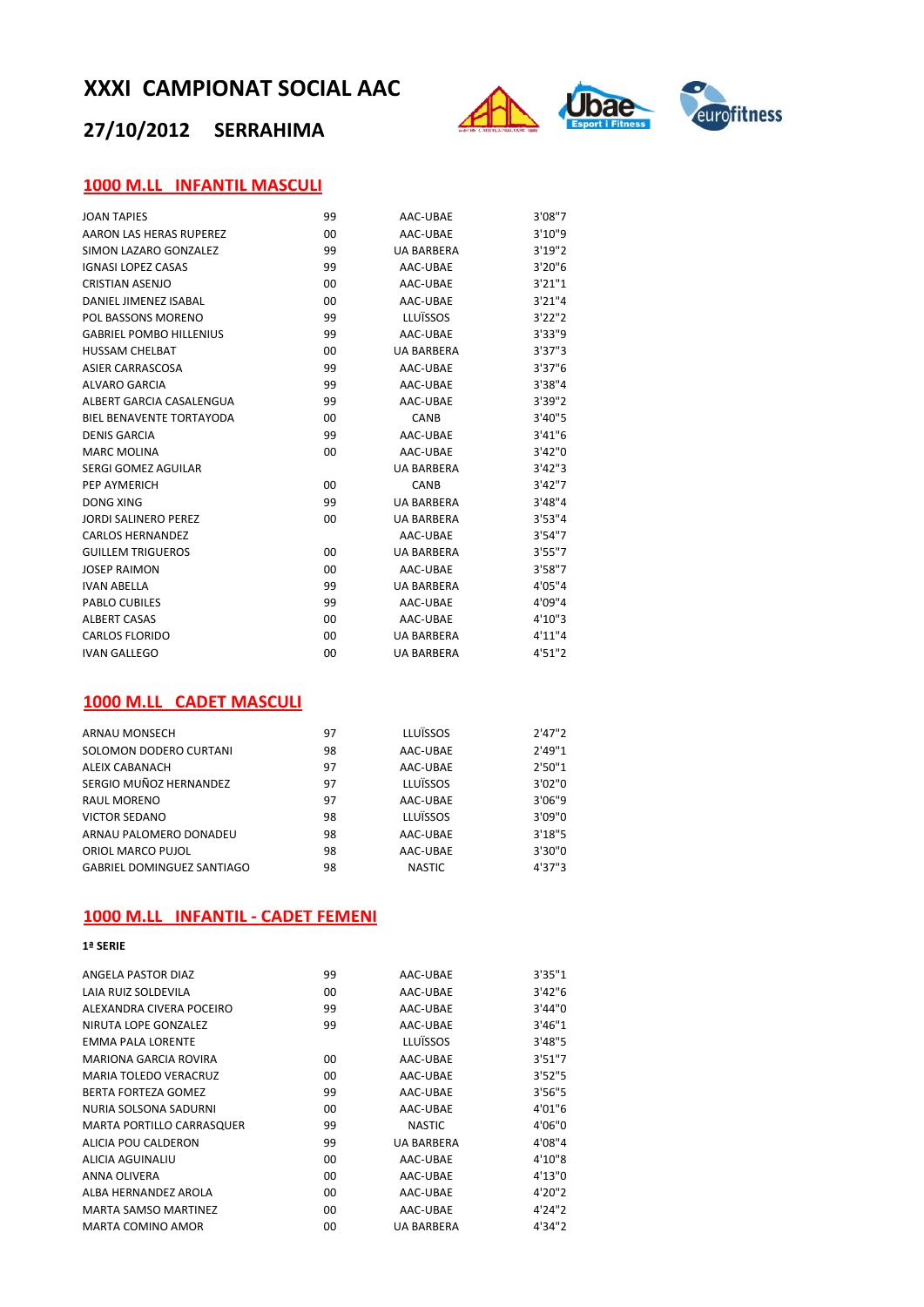## **27/10/2012 SERRAHIMA**



#### **1000 M.LL INFANTIL MASCULI**

| <b>JOAN TAPIES</b>              | 99      | AAC-UBAE          | 3'08"7  |
|---------------------------------|---------|-------------------|---------|
| AARON LAS HERAS RUPEREZ         | 00      | AAC-UBAE          | 3'10"9  |
| SIMON LAZARO GONZALEZ           | 99      | <b>UA BARBERA</b> | 3'19''2 |
| <b>IGNASI LOPEZ CASAS</b>       | 99      | AAC-UBAE          | 3'20''6 |
| CRISTIAN ASENIO                 | 00      | AAC-URAF          | 3'21''1 |
| DANIFI IIMFNF7 ISARAI           | 00      | AAC-UBAE          | 3'21''4 |
| POL BASSONS MORENO              | 99      | LLUÏSSOS          | 3'22''2 |
| <b>GABRIEL POMBO HILLENIUS</b>  | 99      | AAC-UBAE          | 3'33"9  |
| <b>HUSSAM CHELBAT</b>           | 00      | <b>UA BARBERA</b> | 3'37''3 |
| <b>ASIER CARRASCOSA</b>         | 99      | AAC-UBAE          | 3'37''6 |
| <b>ALVARO GARCIA</b>            | 99      | AAC-UBAE          | 3'38''4 |
| ALBERT GARCIA CASALENGUA        | 99      | AAC-UBAE          | 3'39"2  |
| <b>BIEL BENAVENTE TORTAYODA</b> | $00 \,$ | CANB              | 3'40"5  |
| DENIS GARCIA                    | 99      | AAC-UBAE          | 3'41''6 |
| <b>MARC MOLINA</b>              | 00      | AAC-UBAE          | 3'42''0 |
| SERGI GOMEZ AGUILAR             |         | <b>UA BARBERA</b> | 3'42''3 |
| PFP AYMERICH                    | 00      | CANB              | 3'42''7 |
| DONG XING                       | 99      | <b>UA BARBERA</b> | 3'48"4  |
| <b>JORDI SALINERO PEREZ</b>     | 00      | <b>UA BARBERA</b> | 3'53''4 |
| <b>CARLOS HERNANDEZ</b>         |         | AAC-UBAE          | 3'54''7 |
| <b>GUILLEM TRIGUEROS</b>        | 00      | <b>UA BARBERA</b> | 3'55"7  |
| <b>JOSEP RAIMON</b>             | 00      | AAC-UBAE          | 3'58''7 |
| <b>IVAN ABELLA</b>              | 99      | <b>UA BARBERA</b> | 4'05"4  |
| <b>PABLO CUBILES</b>            | 99      | AAC-UBAE          | 4'09"4  |
| <b>ALBERT CASAS</b>             | 00      | AAC-UBAE          | 4'10"3  |
| <b>CARLOS FLORIDO</b>           | 00      | <b>UA BARBERA</b> | 4'11"4  |
| <b>IVAN GALLEGO</b>             | 00      | <b>UA BARBERA</b> | 4'51"2  |

#### **1000 M.LL CADET MASCULI**

| ARNAU MONSECH                     | 97 | LLUÏSSOS      | 2'47''2 |
|-----------------------------------|----|---------------|---------|
| SOLOMON DODERO CURTANI            | 98 | AAC-UBAE      | 2'49''1 |
| ALEIX CABANACH                    | 97 | AAC-UBAE      | 2'50''1 |
| SERGIO MUÑOZ HERNANDEZ            | 97 | LLUÏSSOS      | 3'02"0  |
| RAUL MORENO                       | 97 | AAC-UBAE      | 3'06"9  |
| <b>VICTOR SEDANO</b>              | 98 | LLUÏSSOS      | 3'09"0  |
| ARNAU PALOMERO DONADEU            | 98 | AAC-UBAE      | 3'18''5 |
| ORIOL MARCO PUJOL                 | 98 | AAC-UBAE      | 3'30"0  |
| <b>GABRIEL DOMINGUEZ SANTIAGO</b> | 98 | <b>NASTIC</b> | 4'37''3 |

#### **1000 M.LL INFANTIL ‐ CADET FEMENI**

**1ª SERIE**

| ANGELA PASTOR DIAZ               | 99 | AAC-UBAE          | 3'35"1  |
|----------------------------------|----|-------------------|---------|
| LAIA RUIZ SOLDEVILA              | 00 | AAC-UBAE          | 3'42''6 |
| ALEXANDRA CIVERA POCEIRO         | 99 | AAC-UBAE          | 3'44''0 |
| NIRUTA LOPE GONZALEZ             | 99 | AAC-UBAE          | 3'46''1 |
| <b>EMMA PALA LORENTE</b>         |    | LLUÏSSOS          | 3'48"5  |
| <b>MARIONA GARCIA ROVIRA</b>     | 00 | AAC-UBAE          | 3'51''7 |
| <b>MARIA TOLEDO VERACRUZ</b>     | 00 | AAC-UBAE          | 3'52''5 |
| BERTA FORTEZA GOMEZ              | 99 | AAC-UBAE          | 3'56''5 |
| NURIA SOLSONA SADURNI            | 00 | AAC-UBAE          | 4'01"6  |
| <b>MARTA PORTILLO CARRASQUER</b> | 99 | <b>NASTIC</b>     | 4'06"0  |
| ALICIA POU CALDERON              | 99 | <b>UA BARBERA</b> | 4'08"4  |
| ALICIA AGUINALIU                 | 00 | AAC-UBAE          | 4'10"8  |
| ANNA OLIVERA                     | 00 | AAC-UBAE          | 4'13''0 |
| ALBA HERNANDEZ AROLA             | 00 | AAC-UBAE          | 4'20"2  |
| <b>MARTA SAMSO MARTINEZ</b>      | 00 | AAC-UBAE          | 4'24"2  |
| MARTA COMINO AMOR                | 00 | UA BARBERA        | 4'34"2  |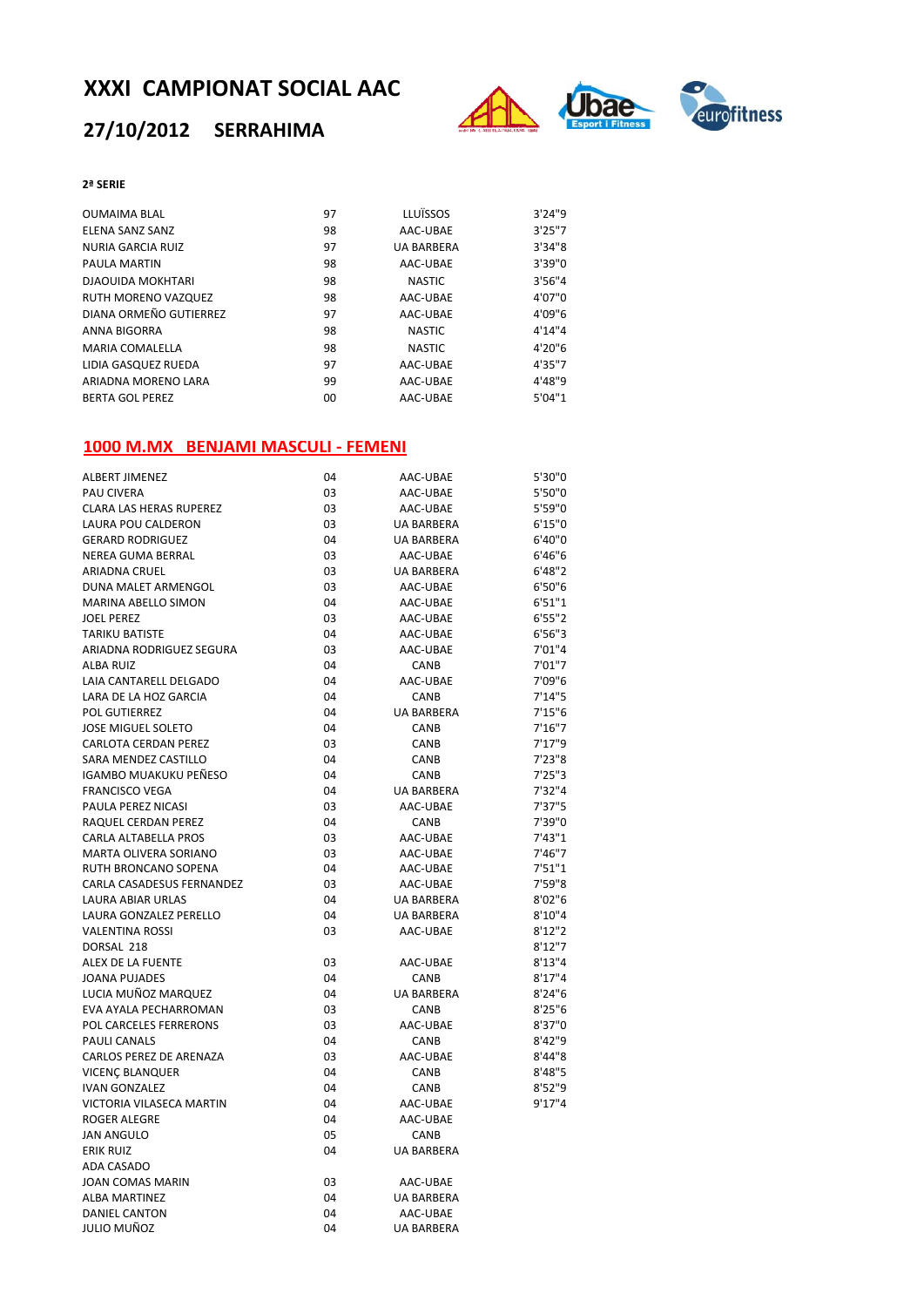## **27/10/2012 SERRAHIMA**



#### **2ª SERIE**

| <b>OUMAIMA BLAL</b>      | 97 | <b>LLUÏSSOS</b>   | 3'24''9 |
|--------------------------|----|-------------------|---------|
| ELENA SANZ SANZ          | 98 | AAC-UBAE          | 3'25''7 |
| NURIA GARCIA RUIZ        | 97 | <b>UA BARBERA</b> | 3'34''8 |
| PAULA MARTIN             | 98 | AAC-UBAE          | 3'39"0  |
| <b>DJAOUIDA MOKHTARI</b> | 98 | <b>NASTIC</b>     | 3'56''4 |
| RUTH MORENO VAZQUEZ      | 98 | AAC-UBAE          | 4'07"0  |
| DIANA ORMEÑO GUTIERREZ   | 97 | AAC-UBAE          | 4'09"6  |
| ANNA BIGORRA             | 98 | <b>NASTIC</b>     | 4'14''4 |
| <b>MARIA COMALELLA</b>   | 98 | <b>NASTIC</b>     | 4'20"6  |
| LIDIA GASQUEZ RUEDA      | 97 | AAC-UBAE          | 4'35"7  |
| ARIADNA MORENO LARA      | 99 | AAC-UBAE          | 4'48"9  |
| <b>BERTA GOL PEREZ</b>   | 00 | AAC-UBAE          | 5'04''1 |

#### **1000 M.MX BENJAMI MASCULI ‐ FEMENI**

| <b>ALBERT JIMENEZ</b>          | 04 | AAC-UBAE          | 5'30"0  |  |
|--------------------------------|----|-------------------|---------|--|
| <b>PAU CIVERA</b>              | 03 | AAC-UBAE          | 5'50"0  |  |
| <b>CLARA LAS HERAS RUPEREZ</b> | 03 | AAC-UBAE          | 5'59"0  |  |
| LAURA POU CALDERON             | 03 | UA BARBERA        | 6'15"0  |  |
| <b>GERARD RODRIGUEZ</b>        | 04 | UA BARBERA        | 6'40"0  |  |
| NEREA GUMA BERRAL              | 03 | AAC-UBAE          | 6'46"6  |  |
| ARIADNA CRUEL                  | 03 | UA BARBERA        | 6'48''2 |  |
| DUNA MALET ARMENGOL            | 03 | AAC-UBAE          | 6'50"6  |  |
| MARINA ABELLO SIMON            | 04 | AAC-UBAE          | 6'51''1 |  |
| <b>JOEL PEREZ</b>              | 03 | AAC-UBAE          | 6'55''2 |  |
| <b>TARIKU BATISTE</b>          | 04 | AAC-UBAE          | 6'56"3  |  |
| ARIADNA RODRIGUEZ SEGURA       | 03 | AAC-UBAE          | 7'01"4  |  |
| <b>ALBA RUIZ</b>               | 04 | CANB              | 7'01"7  |  |
| LAIA CANTARELL DELGADO         | 04 | AAC-UBAE          | 7'09"6  |  |
| LARA DE LA HOZ GARCIA          | 04 | CANB              | 7'14''5 |  |
| POL GUTIERREZ                  | 04 | <b>UA BARBERA</b> | 7'15''6 |  |
| <b>JOSE MIGUEL SOLETO</b>      | 04 | <b>CANB</b>       | 7'16''7 |  |
| CARLOTA CERDAN PEREZ           | 03 | CANB              | 7'17''9 |  |
| SARA MENDEZ CASTILLO           | 04 | <b>CANB</b>       | 7'23''8 |  |
| IGAMBO MUAKUKU PEÑESO          | 04 | CANB              | 7'25''3 |  |
| <b>FRANCISCO VEGA</b>          | 04 | <b>UA BARBERA</b> | 7'32''4 |  |
| PAULA PEREZ NICASI             | 03 | AAC-UBAE          | 7'37''5 |  |
| RAQUEL CERDAN PEREZ            | 04 | <b>CANB</b>       | 7'39"0  |  |
| CARLA ALTABELLA PROS           | 03 | AAC-UBAE          | 7'43''1 |  |
| MARTA OLIVERA SORIANO          | 03 | AAC-UBAE          | 7'46"7  |  |
| RUTH BRONCANO SOPENA           | 04 | AAC-UBAE          | 7'51"1  |  |
| CARLA CASADESUS FERNANDEZ      | 03 | AAC-UBAE          | 7'59"8  |  |
| LAURA ABIAR URLAS              | 04 | UA BARBERA        | 8'02"6  |  |
| LAURA GONZALEZ PERELLO         | 04 | <b>UA BARBERA</b> | 8'10''4 |  |
| <b>VALENTINA ROSSI</b>         | 03 | AAC-UBAE          | 8'12''2 |  |
| DORSAL 218                     |    |                   | 8'12"7  |  |
| ALEX DE LA FUENTE              | 03 | AAC-UBAE          | 8'13''4 |  |
| JOANA PUJADES                  | 04 | CANB              | 8'17''4 |  |
| LUCIA MUÑOZ MARQUEZ            | 04 | <b>UA BARBERA</b> | 8'24''6 |  |
| EVA AYALA PECHARROMAN          | 03 | <b>CANB</b>       | 8'25''6 |  |
| <b>POL CARCELES FERRERONS</b>  | 03 | AAC-UBAE          | 8'37"0  |  |
| <b>PAULI CANALS</b>            | 04 | <b>CANB</b>       | 8'42"9  |  |
| CARLOS PEREZ DE ARENAZA        | 03 | AAC-UBAE          | 8'44"8  |  |
| VICENÇ BLANQUER                | 04 | CANB              | 8'48"5  |  |
| <b>IVAN GONZALEZ</b>           | 04 | CANB              | 8'52"9  |  |
| VICTORIA VILASECA MARTIN       | 04 | AAC-UBAE          | 9'17''4 |  |
| <b>ROGER ALEGRE</b>            | 04 | AAC-UBAE          |         |  |
| <b>JAN ANGULO</b>              | 05 | CANB              |         |  |
| <b>ERIK RUIZ</b>               | 04 | UA BARBERA        |         |  |
| ADA CASADO                     |    |                   |         |  |
| JOAN COMAS MARIN               | 03 | AAC-UBAE          |         |  |
| <b>ALBA MARTINEZ</b>           | 04 | UA BARBERA        |         |  |
| <b>DANIEL CANTON</b>           | 04 | AAC-UBAE          |         |  |
| JULIO MUÑOZ                    | 04 | <b>UA BARBERA</b> |         |  |
|                                |    |                   |         |  |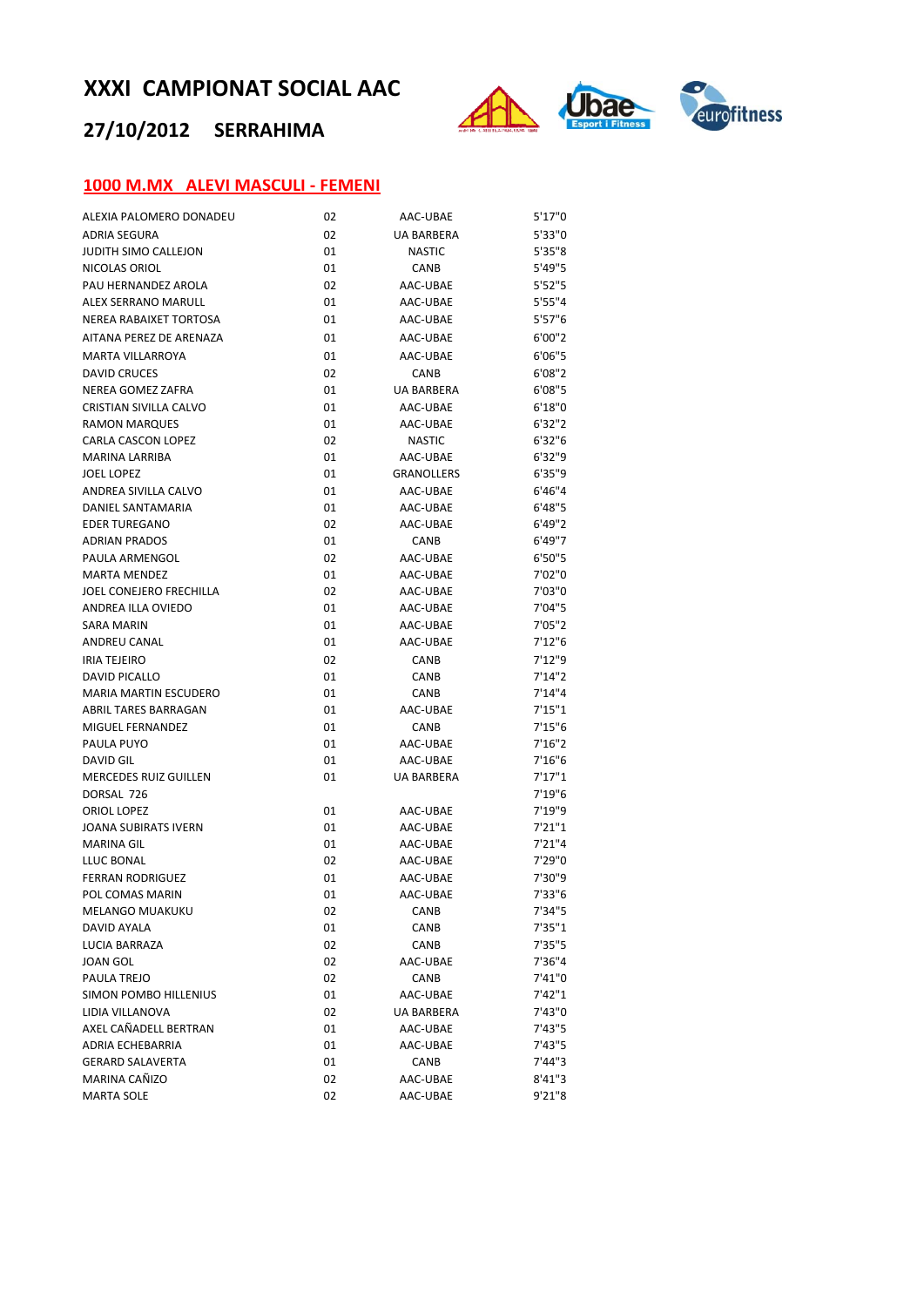## **27/10/2012 SERRAHIMA**



### **1000 M.MX ALEVI MASCULI ‐ FEMENI**

| ALEXIA PALOMERO DONADEU        | 02 | AAC-UBAE          | 5'17"0  |  |
|--------------------------------|----|-------------------|---------|--|
| <b>ADRIA SEGURA</b>            | 02 | UA BARBERA        | 5'33"0  |  |
| <b>JUDITH SIMO CALLEJON</b>    | 01 | <b>NASTIC</b>     | 5'35''8 |  |
| NICOLAS ORIOL                  | 01 | CANB              | 5'49"5  |  |
| PAU HERNANDEZ AROLA            | 02 | AAC-UBAE          | 5'52"5  |  |
| ALEX SERRANO MARULL            | 01 | AAC-UBAE          | 5'55''4 |  |
| NEREA RABAIXET TORTOSA         | 01 | AAC-UBAE          | 5'57''6 |  |
| AITANA PEREZ DE ARENAZA        | 01 | AAC-UBAE          | 6'00"2  |  |
| MARTA VILLARROYA               | 01 | AAC-UBAE          | 6'06"5  |  |
| <b>DAVID CRUCES</b>            | 02 | CANB              | 6'08''2 |  |
| NEREA GOMEZ ZAFRA              | 01 | UA BARBERA        | 6'08"5  |  |
| <b>CRISTIAN SIVILLA CALVO</b>  | 01 | AAC-UBAE          | 6'18''0 |  |
| <b>RAMON MARQUES</b>           | 01 | AAC-UBAE          | 6'32"2  |  |
| CARLA CASCON LOPEZ             | 02 | <b>NASTIC</b>     | 6'32"6  |  |
| MARINA LARRIBA                 | 01 | AAC-UBAE          | 6'32"9  |  |
| <b>JOEL LOPEZ</b>              | 01 | <b>GRANOLLERS</b> | 6'35"9  |  |
| ANDREA SIVILLA CALVO           | 01 | AAC-UBAE          | 6'46"4  |  |
| DANIEL SANTAMARIA              | 01 | AAC-UBAE          | 6'48"5  |  |
| <b>EDER TUREGANO</b>           | 02 | AAC-UBAE          | 6'49''2 |  |
| <b>ADRIAN PRADOS</b>           | 01 | CANB              | 6'49"7  |  |
| PAULA ARMENGOL                 | 02 | AAC-UBAE          | 6'50"5  |  |
| <b>MARTA MENDEZ</b>            | 01 | AAC-UBAE          | 7'02"0  |  |
| <b>JOEL CONEJERO FRECHILLA</b> | 02 | AAC-UBAE          | 7'03"0  |  |
| ANDREA ILLA OVIEDO             | 01 | AAC-UBAE          | 7'04"5  |  |
| <b>SARA MARIN</b>              | 01 | AAC-UBAE          | 7'05"2  |  |
| ANDREU CANAL                   | 01 | AAC-UBAE          | 7'12"6  |  |
| <b>IRIA TEJEIRO</b>            | 02 | CANB              | 7'12''9 |  |
| DAVID PICALLO                  | 01 | CANB              | 7'14''2 |  |
| <b>MARIA MARTIN ESCUDERO</b>   | 01 | CANB              | 7'14"4  |  |
| ABRIL TARES BARRAGAN           | 01 | AAC-UBAE          | 7'15''1 |  |
| MIGUEL FERNANDEZ               | 01 | CANB              | 7'15''6 |  |
| PAULA PUYO                     | 01 | AAC-UBAE          | 7'16''2 |  |
| DAVID GIL                      | 01 | AAC-UBAE          | 7'16''6 |  |
| <b>MERCEDES RUIZ GUILLEN</b>   | 01 | UA BARBERA        | 7'17''1 |  |
| DORSAL 726                     |    |                   | 7'19"6  |  |
| ORIOL LOPEZ                    | 01 | AAC-UBAE          | 7'19"9  |  |
| JOANA SUBIRATS IVERN           | 01 | AAC-UBAE          | 7'21"1  |  |
| <b>MARINA GIL</b>              | 01 | AAC-UBAE          | 7'21''4 |  |
| LLUC BONAL                     | 02 | AAC-UBAE          | 7'29"0  |  |
| <b>FERRAN RODRIGUEZ</b>        | 01 | AAC-UBAE          | 7'30"9  |  |
| POL COMAS MARIN                | 01 | AAC-UBAE          | 7'33"6  |  |
| MELANGO MUAKUKU                | 02 | CANB              | 7'34"5  |  |
| DAVID AYALA                    | 01 | CANB              | 7'35"1  |  |
| LUCIA BARRAZA                  | 02 | CANB              | 7'35"5  |  |
| <b>JOAN GOL</b>                | 02 | AAC-UBAE          | 7'36"4  |  |
| PAULA TREJO                    | 02 | CANB              | 7'41"0  |  |
| SIMON POMBO HILLENIUS          | 01 | AAC-UBAE          | 7'42"1  |  |
| LIDIA VILLANOVA                | 02 | UA BARBERA        | 7'43"0  |  |
| AXEL CAÑADELL BERTRAN          | 01 | AAC-UBAE          | 7'43"5  |  |
| ADRIA ECHEBARRIA               | 01 | AAC-UBAE          | 7'43"5  |  |
| <b>GERARD SALAVERTA</b>        | 01 | CANB              | 7'44"3  |  |
| MARINA CAÑIZO                  | 02 | AAC-UBAE          | 8'41"3  |  |
| <b>MARTA SOLE</b>              | 02 | AAC-UBAE          | 9'21"8  |  |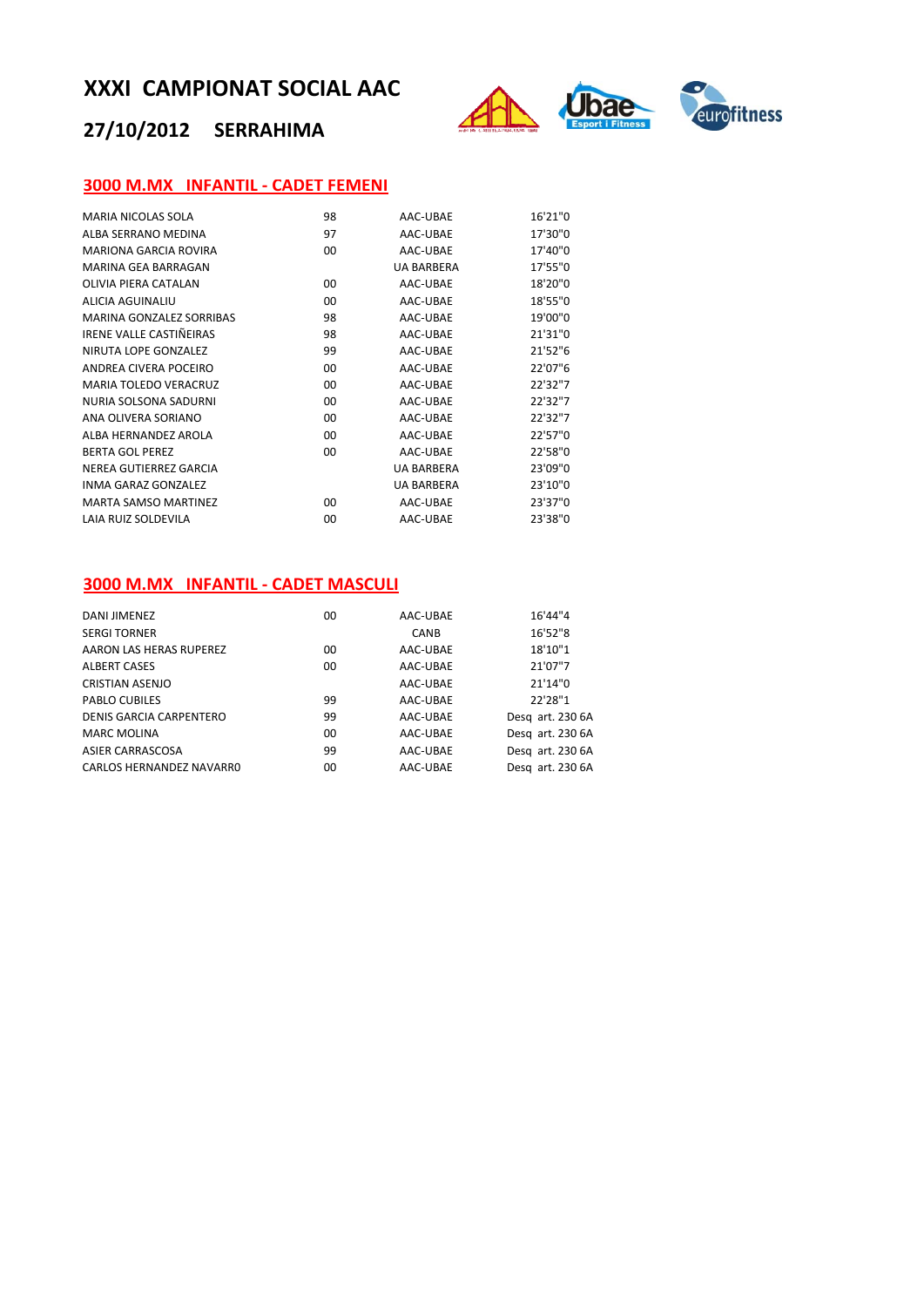## **27/10/2012 SERRAHIMA**



#### **3000 M.MX INFANTIL ‐ CADET FEMENI**

| MARIA NICOLAS SOLA           | 98 | AAC-UBAE          | 16'21"0 |  |
|------------------------------|----|-------------------|---------|--|
| AI BA SERRANO MEDINA         | 97 | AAC-UBAE          | 17'30"0 |  |
| <b>MARIONA GARCIA ROVIRA</b> | 00 | AAC-UBAE          | 17'40"0 |  |
| MARINA GFA BARRAGAN          |    | <b>UA BARBERA</b> | 17'55"0 |  |
| OLIVIA PIFRA CATALAN         | 00 | AAC-UBAE          | 18'20"0 |  |
| ALICIA AGUINALIU             | 00 | AAC-UBAE          | 18'55"0 |  |
| MARINA GONZALEZ SORRIBAS     | 98 | AAC-UBAE          | 19'00"0 |  |
| IRENE VALLE CASTIÑEIRAS      | 98 | AAC-UBAE          | 21'31"0 |  |
| NIRUTA LOPE GONZALEZ         | 99 | AAC-UBAE          | 21'52"6 |  |
| ANDREA CIVERA POCEIRO        | 00 | AAC-UBAE          | 22'07"6 |  |
| <b>MARIA TOLEDO VERACRUZ</b> | 00 | AAC-UBAE          | 22'32"7 |  |
| NURIA SOLSONA SADURNI        | 00 | AAC-UBAE          | 22'32"7 |  |
| ANA OLIVERA SORIANO          | 00 | AAC-UBAE          | 22'32"7 |  |
| ALBA HERNANDEZ AROLA         | 00 | AAC-UBAE          | 22'57"0 |  |
| <b>BERTA GOL PEREZ</b>       | 00 | AAC-UBAE          | 22'58"0 |  |
| NEREA GUTIERREZ GARCIA       |    | <b>UA BARBERA</b> | 23'09"0 |  |
| INMA GARAZ GONZALEZ          |    | <b>UA BARBERA</b> | 23'10"0 |  |
| <b>MARTA SAMSO MARTINEZ</b>  | 00 | AAC-UBAE          | 23'37"0 |  |
| LAIA RUIZ SOLDEVILA          | 00 | AAC-UBAE          | 23'38"0 |  |
|                              |    |                   |         |  |

#### **3000 M.MX INFANTIL ‐ CADET MASCULI**

| DANI JIMENEZ             | 00      | AAC-UBAE | 16'44"4          |
|--------------------------|---------|----------|------------------|
| <b>SERGI TORNER</b>      |         | CANB     | 16'52"8          |
| AARON LAS HERAS RUPEREZ  | 00      | AAC-UBAE | 18'10"1          |
| <b>ALBERT CASES</b>      | 00      | AAC-UBAE | 21'07"7          |
| <b>CRISTIAN ASENJO</b>   |         | AAC-UBAE | 21'14"0          |
| PABLO CUBILES            | 99      | AAC-UBAE | 22'28"1          |
| DENIS GARCIA CARPENTERO  | 99      | AAC-UBAE | Desg art. 230 6A |
| <b>MARC MOLINA</b>       | $00 \,$ | AAC-UBAE | Desg art. 230 6A |
| ASIER CARRASCOSA         | 99      | AAC-UBAE | Desg art. 230 6A |
| CARLOS HERNANDEZ NAVARRO | 00      | AAC-UBAE | Desg art. 230 6A |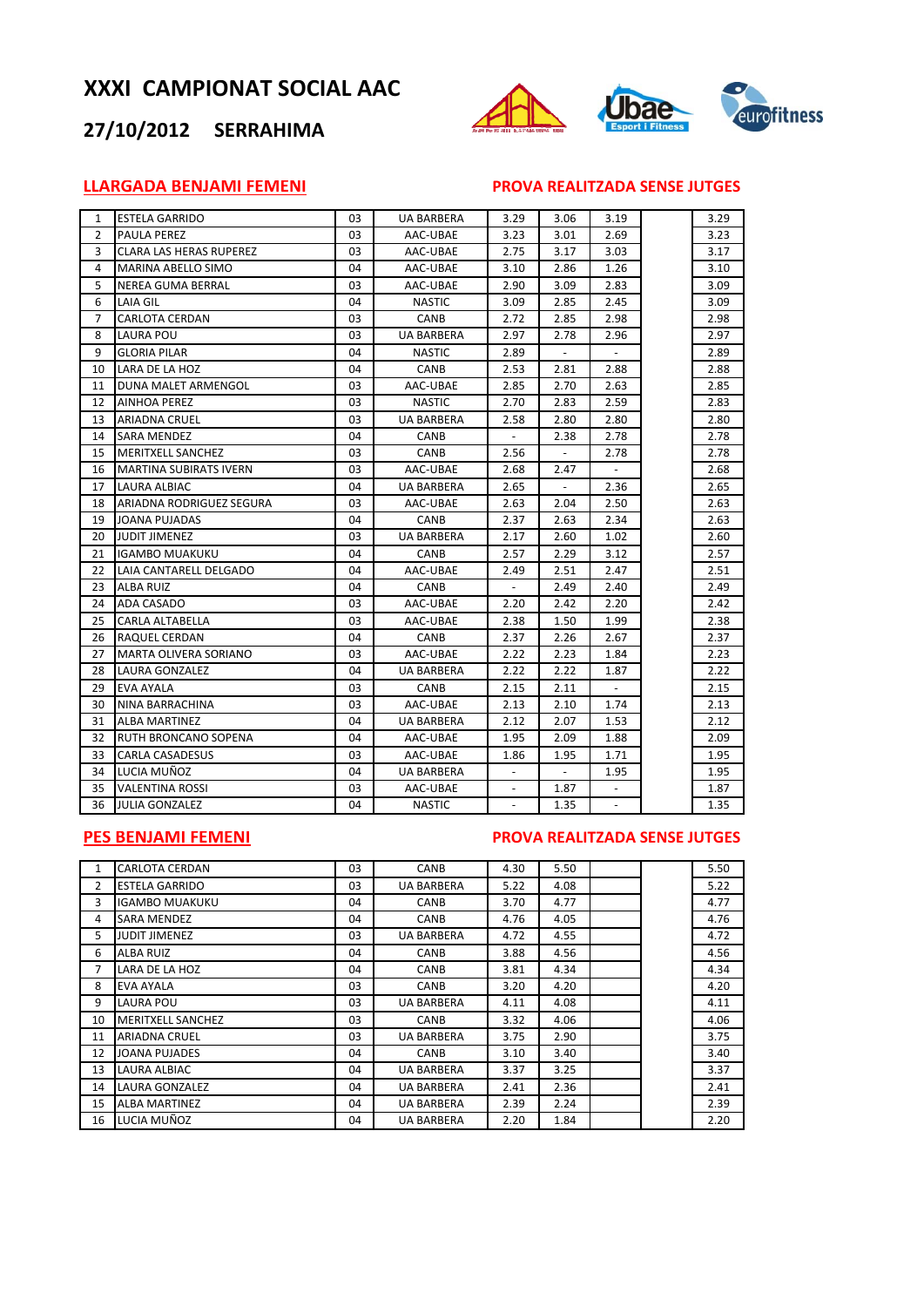## **27/10/2012 SERRAHIMA**



#### **LLARGADA BENJAMI FEMENI PROVA REALITZADA SENSE JUTGES**

| $\mathbf{1}$   | <b>ESTELA GARRIDO</b>          | 03 | <b>UA BARBERA</b> | 3.29   | 3.06                     | 3.19           | 3.29 |
|----------------|--------------------------------|----|-------------------|--------|--------------------------|----------------|------|
| $\overline{2}$ | <b>PAULA PEREZ</b>             | 03 | AAC-UBAE          | 3.23   | 3.01                     | 2.69           | 3.23 |
| 3              | <b>CLARA LAS HERAS RUPEREZ</b> | 03 | AAC-UBAE          | 2.75   | 3.17                     | 3.03           | 3.17 |
| 4              | <b>MARINA ABELLO SIMO</b>      | 04 | AAC-UBAE          | 3.10   | 2.86                     | 1.26           | 3.10 |
| 5              | NEREA GUMA BERRAL              | 03 | AAC-UBAE          | 2.90   | 3.09                     | 2.83           | 3.09 |
| 6              | LAIA GIL                       | 04 | <b>NASTIC</b>     | 3.09   | 2.85                     | 2.45           | 3.09 |
| 7              | CARLOTA CERDAN                 | 03 | CANB              | 2.72   | 2.85                     | 2.98           | 2.98 |
| 8              | LAURA POU                      | 03 | <b>UA BARBERA</b> | 2.97   | 2.78                     | 2.96           | 2.97 |
| 9              | <b>GLORIA PILAR</b>            | 04 | <b>NASTIC</b>     | 2.89   |                          |                | 2.89 |
| 10             | LARA DE LA HOZ                 | 04 | CANB              | 2.53   | 2.81                     | 2.88           | 2.88 |
| 11             | DUNA MALET ARMENGOL            | 03 | AAC-UBAE          | 2.85   | 2.70                     | 2.63           | 2.85 |
| 12             | <b>AINHOA PEREZ</b>            | 03 | <b>NASTIC</b>     | 2.70   | 2.83                     | 2.59           | 2.83 |
| 13             | <b>ARIADNA CRUEL</b>           | 03 | <b>UA BARBERA</b> | 2.58   | 2.80                     | 2.80           | 2.80 |
| 14             | <b>SARA MENDEZ</b>             | 04 | CANB              | $\sim$ | 2.38                     | 2.78           | 2.78 |
| 15             | MERITXELL SANCHEZ              | 03 | CANB              | 2.56   |                          | 2.78           | 2.78 |
| 16             | <b>MARTINA SUBIRATS IVERN</b>  | 03 | AAC-UBAE          | 2.68   | 2.47                     | $\blacksquare$ | 2.68 |
| 17             | <b>LAURA ALBIAC</b>            | 04 | <b>UA BARBERA</b> | 2.65   | $\overline{\phantom{a}}$ | 2.36           | 2.65 |
| 18             | ARIADNA RODRIGUEZ SEGURA       | 03 | AAC-UBAE          | 2.63   | 2.04                     | 2.50           | 2.63 |
| 19             | <b>JOANA PUJADAS</b>           | 04 | CANB              | 2.37   | 2.63                     | 2.34           | 2.63 |
| 20             | <b>JUDIT JIMENEZ</b>           | 03 | UA BARBERA        | 2.17   | 2.60                     | 1.02           | 2.60 |
| 21             | IGAMBO MUAKUKU                 | 04 | CANB              | 2.57   | 2.29                     | 3.12           | 2.57 |
| 22             | LAIA CANTARELL DELGADO         | 04 | AAC-UBAE          | 2.49   | 2.51                     | 2.47           | 2.51 |
| 23             | <b>ALBA RUIZ</b>               | 04 | CANB              |        | 2.49                     | 2.40           | 2.49 |
| 24             | ADA CASADO                     | 03 | AAC-UBAE          | 2.20   | 2.42                     | 2.20           | 2.42 |
| 25             | CARLA ALTABELLA                | 03 | AAC-UBAE          | 2.38   | 1.50                     | 1.99           | 2.38 |
| 26             | <b>RAQUEL CERDAN</b>           | 04 | CANB              | 2.37   | 2.26                     | 2.67           | 2.37 |
| 27             | MARTA OLIVERA SORIANO          | 03 | AAC-UBAE          | 2.22   | 2.23                     | 1.84           | 2.23 |
| 28             | LAURA GONZALEZ                 | 04 | UA BARBERA        | 2.22   | 2.22                     | 1.87           | 2.22 |
| 29             | EVA AYALA                      | 03 | CANB              | 2.15   | 2.11                     | $\blacksquare$ | 2.15 |
| 30             | NINA BARRACHINA                | 03 | AAC-UBAE          | 2.13   | 2.10                     | 1.74           | 2.13 |
| 31             | <b>ALBA MARTINEZ</b>           | 04 | UA BARBERA        | 2.12   | 2.07                     | 1.53           | 2.12 |
| 32             | RUTH BRONCANO SOPENA           | 04 | AAC-UBAE          | 1.95   | 2.09                     | 1.88           | 2.09 |
| 33             | <b>CARLA CASADESUS</b>         | 03 | AAC-UBAE          | 1.86   | 1.95                     | 1.71           | 1.95 |
| 34             | LUCIA MUÑOZ                    | 04 | <b>UA BARBERA</b> |        |                          | 1.95           | 1.95 |
| 35             | <b>VALENTINA ROSSI</b>         | 03 | AAC-UBAE          |        | 1.87                     |                | 1.87 |
| 36             | <b>JULIA GONZALEZ</b>          | 04 | <b>NASTIC</b>     | L.     | 1.35                     | $\overline{a}$ | 1.35 |

#### **PES BENJAMI FEMENI PROVA REALITZADA SENSE JUTGES**

|    | <b>CARLOTA CERDAN</b>    | 03 | <b>CANB</b>       | 4.30 | 5.50 |  | 5.50 |
|----|--------------------------|----|-------------------|------|------|--|------|
| 2  | <b>ESTELA GARRIDO</b>    | 03 | <b>UA BARBERA</b> | 5.22 | 4.08 |  | 5.22 |
| 3  | <b>IGAMBO MUAKUKU</b>    | 04 | CANB              | 3.70 | 4.77 |  | 4.77 |
| 4  | <b>SARA MENDEZ</b>       | 04 | <b>CANB</b>       | 4.76 | 4.05 |  | 4.76 |
| 5  | <b>JUDIT JIMENEZ</b>     | 03 | <b>UA BARBERA</b> | 4.72 | 4.55 |  | 4.72 |
| 6  | ALBA RUIZ                | 04 | <b>CANB</b>       | 3.88 | 4.56 |  | 4.56 |
| 7  | LARA DE LA HOZ           | 04 | CANB              | 3.81 | 4.34 |  | 4.34 |
| 8  | EVA AYALA                | 03 | <b>CANB</b>       | 3.20 | 4.20 |  | 4.20 |
| 9  | LAURA POU                | 03 | <b>UA BARBERA</b> | 4.11 | 4.08 |  | 4.11 |
| 10 | <b>MERITXELL SANCHEZ</b> | 03 | CANB              | 3.32 | 4.06 |  | 4.06 |
| 11 | <b>ARIADNA CRUEL</b>     | 03 | <b>UA BARBERA</b> | 3.75 | 2.90 |  | 3.75 |
| 12 | <b>JOANA PUJADES</b>     | 04 | <b>CANB</b>       | 3.10 | 3.40 |  | 3.40 |
| 13 | LAURA ALBIAC             | 04 | <b>UA BARBERA</b> | 3.37 | 3.25 |  | 3.37 |
| 14 | LAURA GONZALEZ           | 04 | <b>UA BARBERA</b> | 2.41 | 2.36 |  | 2.41 |
| 15 | <b>ALBA MARTINEZ</b>     | 04 | <b>UA BARBERA</b> | 2.39 | 2.24 |  | 2.39 |
| 16 | LUCIA MUÑOZ              | 04 | UA BARBERA        | 2.20 | 1.84 |  | 2.20 |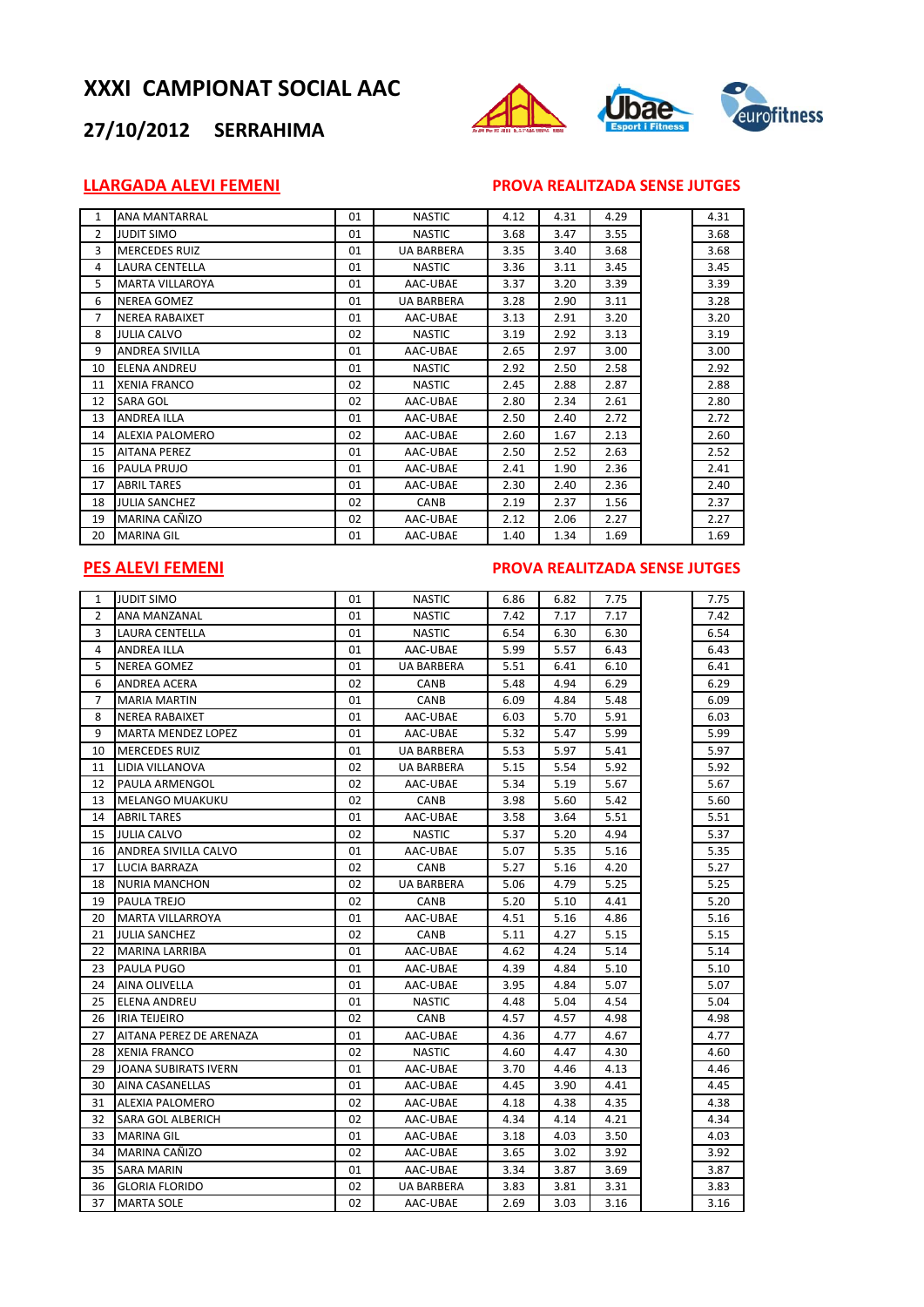## **27/10/2012 SERRAHIMA**



#### **LLARGADA ALEVI FEMENI PROVA REALITZADA SENSE JUTGES**

| $\mathbf{1}$ | ANA MANTARRAL          | 01 | <b>NASTIC</b>     | 4.12 | 4.31 | 4.29 | 4.31 |
|--------------|------------------------|----|-------------------|------|------|------|------|
| 2            | <b>JUDIT SIMO</b>      | 01 | <b>NASTIC</b>     | 3.68 | 3.47 | 3.55 | 3.68 |
| 3            | <b>MERCEDES RUIZ</b>   | 01 | <b>UA BARBERA</b> | 3.35 | 3.40 | 3.68 | 3.68 |
| 4            | LAURA CENTELLA         | 01 | <b>NASTIC</b>     | 3.36 | 3.11 | 3.45 | 3.45 |
| 5.           | <b>MARTA VILLAROYA</b> | 01 | AAC-UBAE          | 3.37 | 3.20 | 3.39 | 3.39 |
| 6            | <b>NEREA GOMEZ</b>     | 01 | <b>UA BARBERA</b> | 3.28 | 2.90 | 3.11 | 3.28 |
| 7            | <b>NEREA RABAIXET</b>  | 01 | AAC-UBAE          | 3.13 | 2.91 | 3.20 | 3.20 |
| 8            | <b>JULIA CALVO</b>     | 02 | <b>NASTIC</b>     | 3.19 | 2.92 | 3.13 | 3.19 |
| 9            | <b>ANDREA SIVILLA</b>  | 01 | AAC-UBAE          | 2.65 | 2.97 | 3.00 | 3.00 |
| 10           | <b>ELENA ANDREU</b>    | 01 | <b>NASTIC</b>     | 2.92 | 2.50 | 2.58 | 2.92 |
| 11           | <b>XENIA FRANCO</b>    | 02 | <b>NASTIC</b>     | 2.45 | 2.88 | 2.87 | 2.88 |
| 12           | <b>SARA GOL</b>        | 02 | AAC-UBAE          | 2.80 | 2.34 | 2.61 | 2.80 |
| 13           | <b>ANDREA ILLA</b>     | 01 | AAC-UBAE          | 2.50 | 2.40 | 2.72 | 2.72 |
| 14           | <b>ALEXIA PALOMERO</b> | 02 | AAC-UBAE          | 2.60 | 1.67 | 2.13 | 2.60 |
| 15           | <b>AITANA PEREZ</b>    | 01 | AAC-UBAE          | 2.50 | 2.52 | 2.63 | 2.52 |
| 16           | PAULA PRUJO            | 01 | AAC-UBAE          | 2.41 | 1.90 | 2.36 | 2.41 |
| 17           | <b>ABRIL TARES</b>     | 01 | AAC-UBAE          | 2.30 | 2.40 | 2.36 | 2.40 |
| 18           | <b>JULIA SANCHEZ</b>   | 02 | CANB              | 2.19 | 2.37 | 1.56 | 2.37 |
| 19           | MARINA CAÑIZO          | 02 | AAC-UBAE          | 2.12 | 2.06 | 2.27 | 2.27 |
| 20           | <b>MARINA GIL</b>      | 01 | AAC-UBAE          | 1.40 | 1.34 | 1.69 | 1.69 |

#### **PES ALEVI FEMENI PROVA REALITZADA SENSE JUTGES**

| 1              | <b>JUDIT SIMO</b>         | 01 | <b>NASTIC</b>     | 6.86 | 6.82 | 7.75 | 7.75 |
|----------------|---------------------------|----|-------------------|------|------|------|------|
| $\overline{2}$ | ANA MANZANAL              | 01 | <b>NASTIC</b>     | 7.42 | 7.17 | 7.17 | 7.42 |
| 3              | <b>LAURA CENTELLA</b>     | 01 | <b>NASTIC</b>     | 6.54 | 6.30 | 6.30 | 6.54 |
| 4              | ANDREA ILLA               | 01 | AAC-UBAE          | 5.99 | 5.57 | 6.43 | 6.43 |
| 5              | <b>NEREA GOMEZ</b>        | 01 | <b>UA BARBERA</b> | 5.51 | 6.41 | 6.10 | 6.41 |
| 6              | ANDREA ACERA              | 02 | CANB              | 5.48 | 4.94 | 6.29 | 6.29 |
| $\overline{7}$ | <b>MARIA MARTIN</b>       | 01 | CANB              | 6.09 | 4.84 | 5.48 | 6.09 |
| 8              | <b>NEREA RABAIXET</b>     | 01 | AAC-UBAE          | 6.03 | 5.70 | 5.91 | 6.03 |
| 9              | <b>MARTA MENDEZ LOPEZ</b> | 01 | AAC-UBAE          | 5.32 | 5.47 | 5.99 | 5.99 |
| 10             | <b>MERCEDES RUIZ</b>      | 01 | UA BARBERA        | 5.53 | 5.97 | 5.41 | 5.97 |
| 11             | LIDIA VILLANOVA           | 02 | <b>UA BARBERA</b> | 5.15 | 5.54 | 5.92 | 5.92 |
| 12             | PAULA ARMENGOL            | 02 | AAC-UBAE          | 5.34 | 5.19 | 5.67 | 5.67 |
| 13             | <b>MELANGO MUAKUKU</b>    | 02 | CANB              | 3.98 | 5.60 | 5.42 | 5.60 |
| 14             | <b>ABRIL TARES</b>        | 01 | AAC-UBAE          | 3.58 | 3.64 | 5.51 | 5.51 |
| 15             | <b>JULIA CALVO</b>        | 02 | <b>NASTIC</b>     | 5.37 | 5.20 | 4.94 | 5.37 |
| 16             | ANDREA SIVILLA CALVO      | 01 | AAC-UBAE          | 5.07 | 5.35 | 5.16 | 5.35 |
| 17             | LUCIA BARRAZA             | 02 | CANB              | 5.27 | 5.16 | 4.20 | 5.27 |
| 18             | <b>NURIA MANCHON</b>      | 02 | <b>UA BARBERA</b> | 5.06 | 4.79 | 5.25 | 5.25 |
| 19             | <b>PAULA TREJO</b>        | 02 | CANB              | 5.20 | 5.10 | 4.41 | 5.20 |
| 20             | <b>MARTA VILLARROYA</b>   | 01 | AAC-UBAE          | 4.51 | 5.16 | 4.86 | 5.16 |
| 21             | <b>JULIA SANCHEZ</b>      | 02 | CANB              | 5.11 | 4.27 | 5.15 | 5.15 |
| 22             | <b>MARINA LARRIBA</b>     | 01 | AAC-UBAE          | 4.62 | 4.24 | 5.14 | 5.14 |
| 23             | PAULA PUGO                | 01 | AAC-UBAE          | 4.39 | 4.84 | 5.10 | 5.10 |
| 24             | AINA OLIVELLA             | 01 | AAC-UBAE          | 3.95 | 4.84 | 5.07 | 5.07 |
| 25             | ELENA ANDREU              | 01 | <b>NASTIC</b>     | 4.48 | 5.04 | 4.54 | 5.04 |
| 26             | IRIA TEIJEIRO             | 02 | CANB              | 4.57 | 4.57 | 4.98 | 4.98 |
| 27             | AITANA PEREZ DE ARENAZA   | 01 | AAC-UBAE          | 4.36 | 4.77 | 4.67 | 4.77 |
| 28             | <b>XENIA FRANCO</b>       | 02 | <b>NASTIC</b>     | 4.60 | 4.47 | 4.30 | 4.60 |
| 29             | JOANA SUBIRATS IVERN      | 01 | AAC-UBAE          | 3.70 | 4.46 | 4.13 | 4.46 |
| 30             | <b>AINA CASANELLAS</b>    | 01 | AAC-UBAE          | 4.45 | 3.90 | 4.41 | 4.45 |
| 31             | <b>ALEXIA PALOMERO</b>    | 02 | AAC-UBAE          | 4.18 | 4.38 | 4.35 | 4.38 |
| 32             | <b>SARA GOL ALBERICH</b>  | 02 | AAC-UBAE          | 4.34 | 4.14 | 4.21 | 4.34 |
| 33             | <b>MARINA GIL</b>         | 01 | AAC-UBAE          | 3.18 | 4.03 | 3.50 | 4.03 |
| 34             | MARINA CAÑIZO             | 02 | AAC-UBAE          | 3.65 | 3.02 | 3.92 | 3.92 |
| 35             | <b>SARA MARIN</b>         | 01 | AAC-UBAE          | 3.34 | 3.87 | 3.69 | 3.87 |
| 36             | <b>GLORIA FLORIDO</b>     | 02 | <b>UA BARBERA</b> | 3.83 | 3.81 | 3.31 | 3.83 |
| 37             | <b>MARTA SOLE</b>         | 02 | AAC-UBAE          | 2.69 | 3.03 | 3.16 | 3.16 |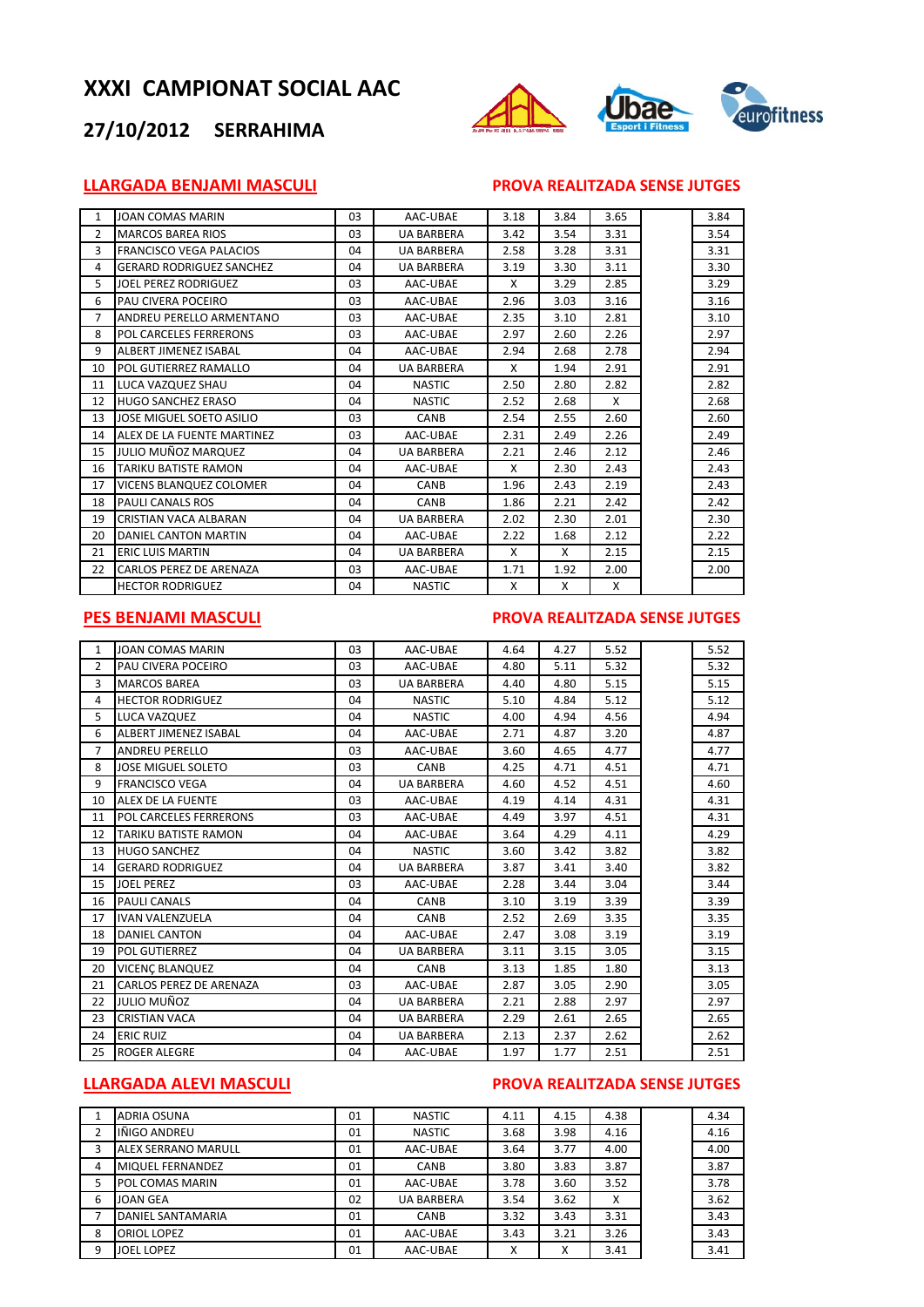



#### **LLARGADA BENJAMI MASCULI PROVA REALITZADA SENSE JUTGES**

| $\mathbf{1}$ | JOAN COMAS MARIN                | 03 | AAC-UBAE          | 3.18 | 3.84 | 3.65 | 3.84 |
|--------------|---------------------------------|----|-------------------|------|------|------|------|
| 2            | <b>MARCOS BAREA RIOS</b>        | 03 | <b>UA BARBERA</b> | 3.42 | 3.54 | 3.31 | 3.54 |
| 3            | <b>FRANCISCO VEGA PALACIOS</b>  | 04 | <b>UA BARBERA</b> | 2.58 | 3.28 | 3.31 | 3.31 |
| 4            | <b>GERARD RODRIGUEZ SANCHEZ</b> | 04 | <b>UA BARBERA</b> | 3.19 | 3.30 | 3.11 | 3.30 |
| 5            | <b>JOEL PEREZ RODRIGUEZ</b>     | 03 | AAC-UBAE          | X    | 3.29 | 2.85 | 3.29 |
| 6            | PAU CIVERA POCEIRO              | 03 | AAC-UBAE          | 2.96 | 3.03 | 3.16 | 3.16 |
| 7            | ANDREU PERELLO ARMENTANO        | 03 | AAC-UBAE          | 2.35 | 3.10 | 2.81 | 3.10 |
| 8            | POL CARCELES FERRERONS          | 03 | AAC-UBAE          | 2.97 | 2.60 | 2.26 | 2.97 |
| 9            | ALBERT JIMENEZ ISABAL           | 04 | AAC-UBAE          | 2.94 | 2.68 | 2.78 | 2.94 |
| 10           | POL GUTIERREZ RAMALLO           | 04 | <b>UA BARBERA</b> | X    | 1.94 | 2.91 | 2.91 |
| 11           | LUCA VAZQUEZ SHAU               | 04 | <b>NASTIC</b>     | 2.50 | 2.80 | 2.82 | 2.82 |
| 12           | <b>HUGO SANCHEZ ERASO</b>       | 04 | <b>NASTIC</b>     | 2.52 | 2.68 | X    | 2.68 |
| 13           | JOSE MIGUEL SOETO ASILIO        | 03 | CANB              | 2.54 | 2.55 | 2.60 | 2.60 |
| 14           | ALEX DE LA FUENTE MARTINEZ      | 03 | AAC-UBAE          | 2.31 | 2.49 | 2.26 | 2.49 |
| 15           | JULIO MUÑOZ MARQUEZ             | 04 | <b>UA BARBERA</b> | 2.21 | 2.46 | 2.12 | 2.46 |
| 16           | TARIKU BATISTE RAMON            | 04 | AAC-UBAE          | X    | 2.30 | 2.43 | 2.43 |
| 17           | VICENS BLANQUEZ COLOMER         | 04 | CANB              | 1.96 | 2.43 | 2.19 | 2.43 |
| 18           | <b>PAULI CANALS ROS</b>         | 04 | CANB              | 1.86 | 2.21 | 2.42 | 2.42 |
| 19           | CRISTIAN VACA ALBARAN           | 04 | <b>UA BARBERA</b> | 2.02 | 2.30 | 2.01 | 2.30 |
| 20           | <b>DANIEL CANTON MARTIN</b>     | 04 | AAC-UBAE          | 2.22 | 1.68 | 2.12 | 2.22 |
| 21           | <b>ERIC LUIS MARTIN</b>         | 04 | <b>UA BARBERA</b> | X    | X    | 2.15 | 2.15 |
| 22           | CARLOS PEREZ DE ARENAZA         | 03 | AAC-UBAE          | 1.71 | 1.92 | 2.00 | 2.00 |
|              | <b>HECTOR RODRIGUEZ</b>         | 04 | <b>NASTIC</b>     | X    | X    | X    |      |

#### **PES BENJAMI MASCULI PROVA REALITZADA SENSE JUTGES**

| $\mathbf{1}$   | <b>JOAN COMAS MARIN</b>        | 03 | AAC-UBAE          | 4.64 | 4.27 | 5.52 | 5.52 |
|----------------|--------------------------------|----|-------------------|------|------|------|------|
| $\overline{2}$ | PAU CIVERA POCEIRO             | 03 | AAC-UBAE          | 4.80 | 5.11 | 5.32 | 5.32 |
| 3              | <b>MARCOS BAREA</b>            | 03 | <b>UA BARBERA</b> | 4.40 | 4.80 | 5.15 | 5.15 |
| $\overline{4}$ | <b>HECTOR RODRIGUEZ</b>        | 04 | <b>NASTIC</b>     | 5.10 | 4.84 | 5.12 | 5.12 |
| 5              | LUCA VAZQUEZ                   | 04 | <b>NASTIC</b>     | 4.00 | 4.94 | 4.56 | 4.94 |
| 6              | <b>ALBERT JIMENEZ ISABAL</b>   | 04 | AAC-UBAE          | 2.71 | 4.87 | 3.20 | 4.87 |
| $\overline{7}$ | <b>ANDREU PERELLO</b>          | 03 | AAC-UBAE          | 3.60 | 4.65 | 4.77 | 4.77 |
| 8              | <b>JOSE MIGUEL SOLETO</b>      | 03 | CANB              | 4.25 | 4.71 | 4.51 | 4.71 |
| 9              | <b>FRANCISCO VEGA</b>          | 04 | <b>UA BARBERA</b> | 4.60 | 4.52 | 4.51 | 4.60 |
| 10             | <b>ALEX DE LA FUENTE</b>       | 03 | AAC-UBAE          | 4.19 | 4.14 | 4.31 | 4.31 |
| 11             | <b>POL CARCELES FERRERONS</b>  | 03 | AAC-UBAE          | 4.49 | 3.97 | 4.51 | 4.31 |
| 12             | <b>TARIKU BATISTE RAMON</b>    | 04 | AAC-UBAE          | 3.64 | 4.29 | 4.11 | 4.29 |
| 13             | <b>HUGO SANCHEZ</b>            | 04 | <b>NASTIC</b>     | 3.60 | 3.42 | 3.82 | 3.82 |
| 14             | <b>GERARD RODRIGUEZ</b>        | 04 | <b>UA BARBERA</b> | 3.87 | 3.41 | 3.40 | 3.82 |
| 15             | <b>JOEL PEREZ</b>              | 03 | AAC-UBAE          | 2.28 | 3.44 | 3.04 | 3.44 |
| 16             | <b>PAULI CANALS</b>            | 04 | CANB              | 3.10 | 3.19 | 3.39 | 3.39 |
| 17             | <b>IVAN VALENZUELA</b>         | 04 | CANB              | 2.52 | 2.69 | 3.35 | 3.35 |
| 18             | <b>DANIEL CANTON</b>           | 04 | AAC-UBAE          | 2.47 | 3.08 | 3.19 | 3.19 |
| 19             | <b>POL GUTIERREZ</b>           | 04 | <b>UA BARBERA</b> | 3.11 | 3.15 | 3.05 | 3.15 |
| 20             | <b>VICENC BLANQUEZ</b>         | 04 | CANB              | 3.13 | 1.85 | 1.80 | 3.13 |
| 21             | <b>CARLOS PEREZ DE ARENAZA</b> | 03 | AAC-UBAE          | 2.87 | 3.05 | 2.90 | 3.05 |
| 22             | JULIO MUÑOZ                    | 04 | <b>UA BARBERA</b> | 2.21 | 2.88 | 2.97 | 2.97 |
| 23             | <b>CRISTIAN VACA</b>           | 04 | <b>UA BARBERA</b> | 2.29 | 2.61 | 2.65 | 2.65 |
| 24             | <b>ERIC RUIZ</b>               | 04 | <b>UA BARBERA</b> | 2.13 | 2.37 | 2.62 | 2.62 |
| 25             | <b>ROGER ALEGRE</b>            | 04 | AAC-UBAE          | 1.97 | 1.77 | 2.51 | 2.51 |

## **LLARGADA ALEVI MASCULI PROVA REALITZADA SENSE JUTGES**

|                | <b>ADRIA OSUNA</b>         | 01 | <b>NASTIC</b>     | 4.11 | 4.15 | 4.38 | 4.34 |
|----------------|----------------------------|----|-------------------|------|------|------|------|
| $\overline{2}$ | IÑIGO ANDREU               | 01 | <b>NASTIC</b>     | 3.68 | 3.98 | 4.16 | 4.16 |
| 3              | <b>ALEX SERRANO MARULL</b> | 01 | AAC-UBAE          | 3.64 | 3.77 | 4.00 | 4.00 |
| 4              | <b>MIQUEL FERNANDEZ</b>    | 01 | <b>CANB</b>       | 3.80 | 3.83 | 3.87 | 3.87 |
| 5              | POL COMAS MARIN            | 01 | AAC-UBAE          | 3.78 | 3.60 | 3.52 | 3.78 |
| 6              | JOAN GEA                   | 02 | <b>UA BARBERA</b> | 3.54 | 3.62 | x    | 3.62 |
|                | DANIEL SANTAMARIA          | 01 | <b>CANB</b>       | 3.32 | 3.43 | 3.31 | 3.43 |
| 8              | ORIOL LOPEZ                | 01 | AAC-UBAE          | 3.43 | 3.21 | 3.26 | 3.43 |
| 9              | <b>JOEL LOPEZ</b>          | 01 | AAC-UBAE          | X    |      | 3.41 | 3.41 |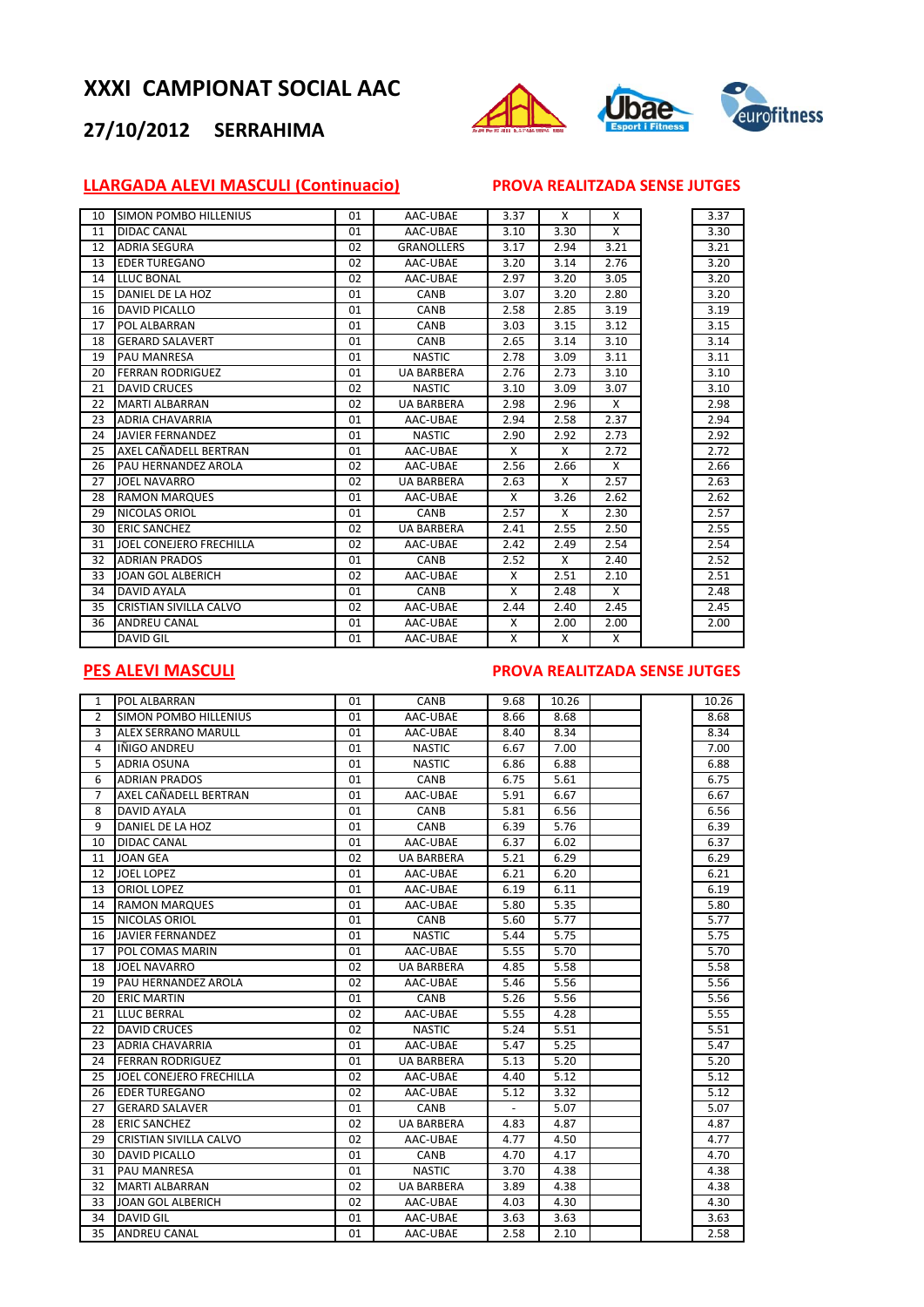## **27/10/2012 SERRAHIMA**



## **LLARGADA ALEVI MASCULI (Continuacio) PROVA REALITZADA SENSE JUTGES**

| 10 | <b>SIMON POMBO HILLENIUS</b> | 01 | AAC-UBAE          | 3.37 | X    | X    | 3.37 |
|----|------------------------------|----|-------------------|------|------|------|------|
| 11 | DIDAC CANAL                  | 01 | AAC-UBAE          | 3.10 | 3.30 | X    | 3.30 |
| 12 | <b>ADRIA SEGURA</b>          | 02 | <b>GRANOLLERS</b> | 3.17 | 2.94 | 3.21 | 3.21 |
| 13 | <b>EDER TUREGANO</b>         | 02 | AAC-UBAE          | 3.20 | 3.14 | 2.76 | 3.20 |
| 14 | LLUC BONAL                   | 02 | AAC-UBAE          | 2.97 | 3.20 | 3.05 | 3.20 |
| 15 | DANIEL DE LA HOZ             | 01 | CANB              | 3.07 | 3.20 | 2.80 | 3.20 |
| 16 | <b>DAVID PICALLO</b>         | 01 | CANB              | 2.58 | 2.85 | 3.19 | 3.19 |
| 17 | POL ALBARRAN                 | 01 | CANB              | 3.03 | 3.15 | 3.12 | 3.15 |
| 18 | <b>GERARD SALAVERT</b>       | 01 | CANB              | 2.65 | 3.14 | 3.10 | 3.14 |
| 19 | <b>PAU MANRESA</b>           | 01 | <b>NASTIC</b>     | 2.78 | 3.09 | 3.11 | 3.11 |
| 20 | <b>FERRAN RODRIGUEZ</b>      | 01 | <b>UA BARBERA</b> | 2.76 | 2.73 | 3.10 | 3.10 |
| 21 | <b>DAVID CRUCES</b>          | 02 | <b>NASTIC</b>     | 3.10 | 3.09 | 3.07 | 3.10 |
| 22 | <b>MARTI ALBARRAN</b>        | 02 | <b>UA BARBERA</b> | 2.98 | 2.96 | X    | 2.98 |
| 23 | <b>ADRIA CHAVARRIA</b>       | 01 | AAC-UBAE          | 2.94 | 2.58 | 2.37 | 2.94 |
| 24 | <b>JAVIER FERNANDEZ</b>      | 01 | <b>NASTIC</b>     | 2.90 | 2.92 | 2.73 | 2.92 |
| 25 | AXEL CAÑADELL BERTRAN        | 01 | AAC-UBAE          | X    | X    | 2.72 | 2.72 |
| 26 | PAU HERNANDEZ AROLA          | 02 | AAC-UBAE          | 2.56 | 2.66 | X    | 2.66 |
| 27 | <b>JOEL NAVARRO</b>          | 02 | <b>UA BARBERA</b> | 2.63 | X    | 2.57 | 2.63 |
| 28 | <b>RAMON MARQUES</b>         | 01 | AAC-UBAE          | X    | 3.26 | 2.62 | 2.62 |
| 29 | NICOLAS ORIOL                | 01 | CANB              | 2.57 | X    | 2.30 | 2.57 |
| 30 | <b>ERIC SANCHEZ</b>          | 02 | <b>UA BARBERA</b> | 2.41 | 2.55 | 2.50 | 2.55 |
| 31 | JOEL CONEJERO FRECHILLA      | 02 | AAC-UBAE          | 2.42 | 2.49 | 2.54 | 2.54 |
| 32 | <b>ADRIAN PRADOS</b>         | 01 | CANB              | 2.52 | X    | 2.40 | 2.52 |
| 33 | JOAN GOL ALBERICH            | 02 | AAC-UBAE          | X    | 2.51 | 2.10 | 2.51 |
| 34 | <b>DAVID AYALA</b>           | 01 | CANB              | X    | 2.48 | X    | 2.48 |
| 35 | CRISTIAN SIVILLA CALVO       | 02 | AAC-UBAE          | 2.44 | 2.40 | 2.45 | 2.45 |
| 36 | <b>ANDREU CANAL</b>          | 01 | AAC-UBAE          | X    | 2.00 | 2.00 | 2.00 |
|    | <b>DAVID GIL</b>             | 01 | AAC-UBAE          | X    | X    | X    |      |

#### **PES ALEVI MASCULI PROVA REALITZADA SENSE JUTGES**

| $\mathbf{1}$    | POL ALBARRAN                 | 01 | CANB              | 9.68 | 10.26 |  | 10.26 |
|-----------------|------------------------------|----|-------------------|------|-------|--|-------|
| 2               | <b>SIMON POMBO HILLENIUS</b> | 01 | AAC-UBAE          | 8.66 | 8.68  |  | 8.68  |
| 3               | <b>ALEX SERRANO MARULL</b>   | 01 | AAC-UBAE          | 8.40 | 8.34  |  | 8.34  |
| 4               | IÑIGO ANDREU                 | 01 | <b>NASTIC</b>     | 6.67 | 7.00  |  | 7.00  |
| 5               | <b>ADRIA OSUNA</b>           | 01 | <b>NASTIC</b>     | 6.86 | 6.88  |  | 6.88  |
| 6               | <b>ADRIAN PRADOS</b>         | 01 | CANB              | 6.75 | 5.61  |  | 6.75  |
| 7               | AXEL CAÑADELL BERTRAN        | 01 | AAC-UBAE          | 5.91 | 6.67  |  | 6.67  |
| 8               | <b>DAVID AYALA</b>           | 01 | CANB              | 5.81 | 6.56  |  | 6.56  |
| 9               | DANIEL DE LA HOZ             | 01 | CANB              | 6.39 | 5.76  |  | 6.39  |
| 10              | <b>DIDAC CANAL</b>           | 01 | AAC-UBAE          | 6.37 | 6.02  |  | 6.37  |
| 11              | <b>JOAN GEA</b>              | 02 | <b>UA BARBERA</b> | 5.21 | 6.29  |  | 6.29  |
| 12              | <b>JOEL LOPEZ</b>            | 01 | AAC-UBAE          | 6.21 | 6.20  |  | 6.21  |
| 13              | <b>ORIOL LOPEZ</b>           | 01 | AAC-UBAE          | 6.19 | 6.11  |  | 6.19  |
| 14              | <b>RAMON MARQUES</b>         | 01 | AAC-UBAE          | 5.80 | 5.35  |  | 5.80  |
| 15              | NICOLAS ORIOL                | 01 | CANB              | 5.60 | 5.77  |  | 5.77  |
| 16              | <b>JAVIER FERNANDEZ</b>      | 01 | <b>NASTIC</b>     | 5.44 | 5.75  |  | 5.75  |
| 17              | POL COMAS MARIN              | 01 | AAC-UBAE          | 5.55 | 5.70  |  | 5.70  |
| 18              | <b>JOEL NAVARRO</b>          | 02 | <b>UA BARBERA</b> | 4.85 | 5.58  |  | 5.58  |
| 19              | PAU HERNANDEZ AROLA          | 02 | AAC-UBAE          | 5.46 | 5.56  |  | 5.56  |
| 20              | <b>ERIC MARTIN</b>           | 01 | CANB              | 5.26 | 5.56  |  | 5.56  |
| 21              | <b>LLUC BERRAL</b>           | 02 | AAC-UBAE          | 5.55 | 4.28  |  | 5.55  |
| 22              | <b>DAVID CRUCES</b>          | 02 | <b>NASTIC</b>     | 5.24 | 5.51  |  | 5.51  |
| 23              | <b>ADRIA CHAVARRIA</b>       | 01 | AAC-UBAE          | 5.47 | 5.25  |  | 5.47  |
| 24              | <b>FERRAN RODRIGUEZ</b>      | 01 | <b>UA BARBERA</b> | 5.13 | 5.20  |  | 5.20  |
| 25              | JOEL CONEJERO FRECHILLA      | 02 | AAC-UBAE          | 4.40 | 5.12  |  | 5.12  |
| 26              | <b>EDER TUREGANO</b>         | 02 | AAC-UBAE          | 5.12 | 3.32  |  | 5.12  |
| 27              | <b>GERARD SALAVER</b>        | 01 | <b>CANB</b>       |      | 5.07  |  | 5.07  |
| 28              | <b>ERIC SANCHEZ</b>          | 02 | <b>UA BARBERA</b> | 4.83 | 4.87  |  | 4.87  |
| 29              | CRISTIAN SIVILLA CALVO       | 02 | AAC-UBAE          | 4.77 | 4.50  |  | 4.77  |
| 30              | <b>DAVID PICALLO</b>         | 01 | CANB              | 4.70 | 4.17  |  | 4.70  |
| 31              | <b>PAU MANRESA</b>           | 01 | <b>NASTIC</b>     | 3.70 | 4.38  |  | 4.38  |
| 32              | <b>MARTI ALBARRAN</b>        | 02 | <b>UA BARBERA</b> | 3.89 | 4.38  |  | 4.38  |
| 33              | <b>JOAN GOL ALBERICH</b>     | 02 | AAC-UBAE          | 4.03 | 4.30  |  | 4.30  |
| 34              | <b>DAVID GIL</b>             | 01 | AAC-UBAE          | 3.63 | 3.63  |  | 3.63  |
| $\overline{35}$ | <b>ANDREU CANAL</b>          | 01 | AAC-UBAE          | 2.58 | 2.10  |  | 2.58  |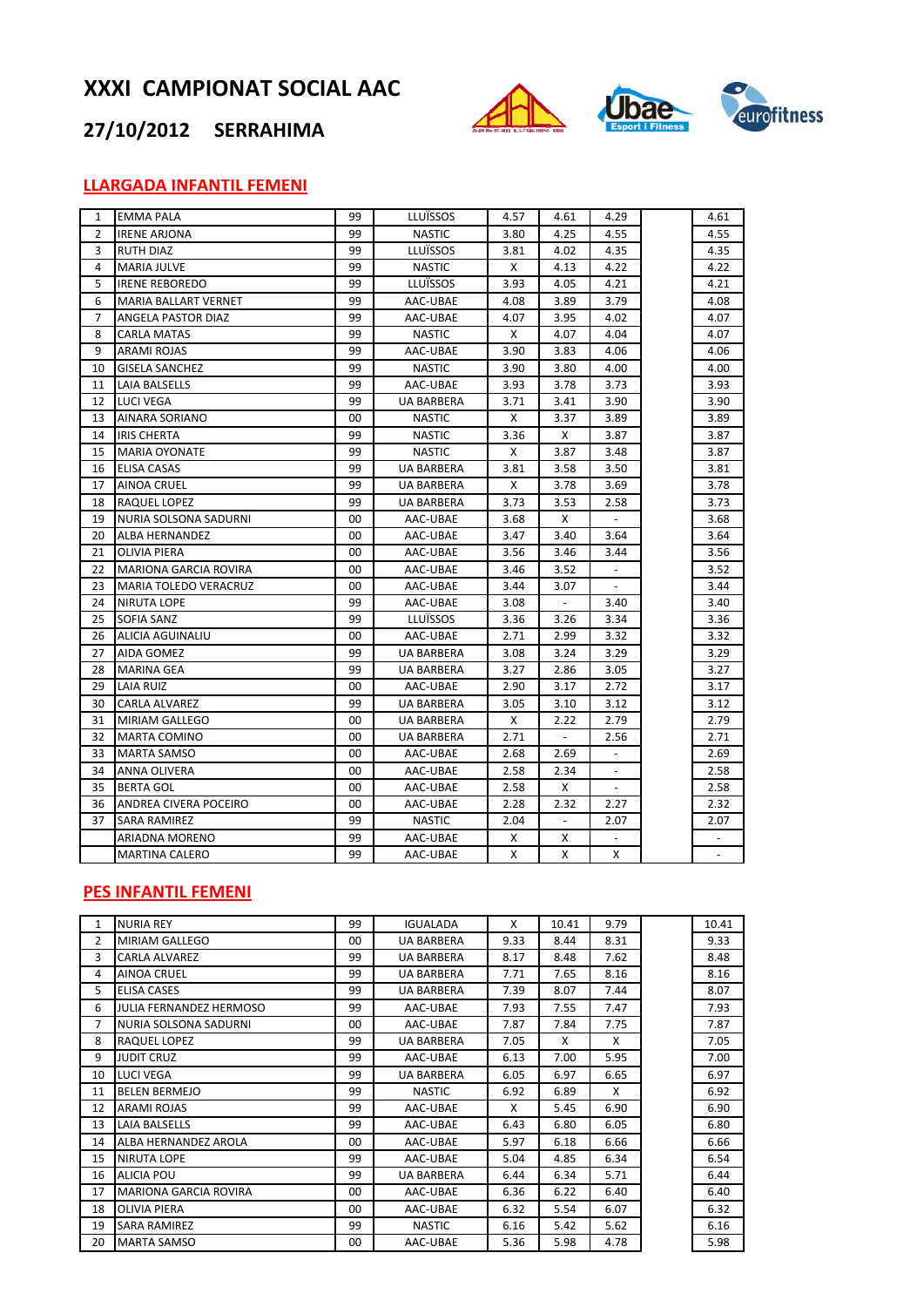

## **27/10/2012 SERRAHIMA**

## **LLARGADA INFANTIL FEMENI**

| $\mathbf{1}$ | <b>EMMA PALA</b>             | 99 | LLUÏSSOS          | 4.57 | 4.61           | 4.29 | 4.61                     |
|--------------|------------------------------|----|-------------------|------|----------------|------|--------------------------|
| 2            | <b>IRENE ARJONA</b>          | 99 | <b>NASTIC</b>     | 3.80 | 4.25           | 4.55 | 4.55                     |
| 3            | <b>RUTH DIAZ</b>             | 99 | LLUÏSSOS          | 3.81 | 4.02           | 4.35 | 4.35                     |
| 4            | <b>MARIA JULVE</b>           | 99 | <b>NASTIC</b>     | X    | 4.13           | 4.22 | 4.22                     |
| 5            | <b>IRENE REBOREDO</b>        | 99 | LLUÏSSOS          | 3.93 | 4.05           | 4.21 | 4.21                     |
| 6            | MARIA BALLART VERNET         | 99 | AAC-UBAE          | 4.08 | 3.89           | 3.79 | 4.08                     |
| 7            | ANGELA PASTOR DIAZ           | 99 | AAC-UBAE          | 4.07 | 3.95           | 4.02 | 4.07                     |
| 8            | <b>CARLA MATAS</b>           | 99 | <b>NASTIC</b>     | Χ    | 4.07           | 4.04 | 4.07                     |
| 9            | ARAMI ROJAS                  | 99 | AAC-UBAE          | 3.90 | 3.83           | 4.06 | 4.06                     |
| 10           | <b>GISELA SANCHEZ</b>        | 99 | <b>NASTIC</b>     | 3.90 | 3.80           | 4.00 | 4.00                     |
| 11           | LAIA BALSELLS                | 99 | AAC-UBAE          | 3.93 | 3.78           | 3.73 | 3.93                     |
| 12           | LUCI VEGA                    | 99 | <b>UA BARBERA</b> | 3.71 | 3.41           | 3.90 | 3.90                     |
| 13           | AINARA SORIANO               | 00 | <b>NASTIC</b>     | x    | 3.37           | 3.89 | 3.89                     |
| 14           | <b>IRIS CHERTA</b>           | 99 | <b>NASTIC</b>     | 3.36 | х              | 3.87 | 3.87                     |
| 15           | <b>MARIA OYONATE</b>         | 99 | <b>NASTIC</b>     | Χ    | 3.87           | 3.48 | 3.87                     |
| 16           | ELISA CASAS                  | 99 | <b>UA BARBERA</b> | 3.81 | 3.58           | 3.50 | 3.81                     |
| 17           | AINOA CRUEL                  | 99 | UA BARBERA        | Χ    | 3.78           | 3.69 | 3.78                     |
| 18           | RAQUEL LOPEZ                 | 99 | UA BARBERA        | 3.73 | 3.53           | 2.58 | 3.73                     |
| 19           | NURIA SOLSONA SADURNI        | 00 | AAC-UBAE          | 3.68 | Χ              |      | 3.68                     |
| 20           | ALBA HERNANDEZ               | 00 | AAC-UBAE          | 3.47 | 3.40           | 3.64 | 3.64                     |
| 21           | OLIVIA PIERA                 | 00 | AAC-UBAE          | 3.56 | 3.46           | 3.44 | 3.56                     |
| 22           | <b>MARIONA GARCIA ROVIRA</b> | 00 | AAC-UBAE          | 3.46 | 3.52           |      | 3.52                     |
| 23           | <b>MARIA TOLEDO VERACRUZ</b> | 00 | AAC-UBAE          | 3.44 | 3.07           |      | 3.44                     |
| 24           | <b>NIRUTA LOPE</b>           | 99 | AAC-UBAE          | 3.08 |                | 3.40 | 3.40                     |
| 25           | SOFIA SANZ                   | 99 | <b>LLUÏSSOS</b>   | 3.36 | 3.26           | 3.34 | 3.36                     |
| 26           | ALICIA AGUINALIU             | 00 | AAC-UBAE          | 2.71 | 2.99           | 3.32 | 3.32                     |
| 27           | AIDA GOMEZ                   | 99 | UA BARBERA        | 3.08 | 3.24           | 3.29 | 3.29                     |
| 28           | <b>MARINA GEA</b>            | 99 | <b>UA BARBERA</b> | 3.27 | 2.86           | 3.05 | 3.27                     |
| 29           | <b>LAIA RUIZ</b>             | 00 | AAC-UBAE          | 2.90 | 3.17           | 2.72 | 3.17                     |
| 30           | CARLA ALVAREZ                | 99 | <b>UA BARBERA</b> | 3.05 | 3.10           | 3.12 | 3.12                     |
| 31           | MIRIAM GALLEGO               | 00 | UA BARBERA        | X    | 2.22           | 2.79 | 2.79                     |
| 32           | <b>MARTA COMINO</b>          | 00 | <b>UA BARBERA</b> | 2.71 |                | 2.56 | 2.71                     |
| 33           | <b>MARTA SAMSO</b>           | 00 | AAC-UBAE          | 2.68 | 2.69           |      | 2.69                     |
| 34           | ANNA OLIVERA                 | 00 | AAC-UBAE          | 2.58 | 2.34           |      | 2.58                     |
| 35           | <b>BERTA GOL</b>             | 00 | AAC-UBAE          | 2.58 | х              |      | 2.58                     |
| 36           | ANDREA CIVERA POCEIRO        | 00 | AAC-UBAE          | 2.28 | 2.32           | 2.27 | 2.32                     |
| 37           | SARA RAMIREZ                 | 99 | <b>NASTIC</b>     | 2.04 | $\blacksquare$ | 2.07 | 2.07                     |
|              | ARIADNA MORENO               | 99 | AAC-UBAE          | х    | х              |      |                          |
|              | <b>MARTINA CALERO</b>        | 99 | AAC-UBAE          | X    | X              | X    | $\overline{\phantom{a}}$ |

### **PES INFANTIL FEMENI**

| 1  | <b>NURIA REY</b>               | 99 | <b>IGUALADA</b>   | X    | 10.41 | 9.79 | 10.41 |
|----|--------------------------------|----|-------------------|------|-------|------|-------|
| 2  | MIRIAM GALLEGO                 | 00 | <b>UA BARBERA</b> | 9.33 | 8.44  | 8.31 | 9.33  |
| 3  | <b>CARLA ALVAREZ</b>           | 99 | <b>UA BARBERA</b> | 8.17 | 8.48  | 7.62 | 8.48  |
| 4  | <b>AINOA CRUEL</b>             | 99 | <b>UA BARBERA</b> | 7.71 | 7.65  | 8.16 | 8.16  |
| 5  | <b>ELISA CASES</b>             | 99 | <b>UA BARBERA</b> | 7.39 | 8.07  | 7.44 | 8.07  |
| 6  | <b>JULIA FERNANDEZ HERMOSO</b> | 99 | AAC-UBAE          | 7.93 | 7.55  | 7.47 | 7.93  |
| 7  | NURIA SOLSONA SADURNI          | 00 | AAC-UBAE          | 7.87 | 7.84  | 7.75 | 7.87  |
| 8  | RAQUEL LOPEZ                   | 99 | <b>UA BARBERA</b> | 7.05 | X     | X    | 7.05  |
| 9  | <b>JUDIT CRUZ</b>              | 99 | AAC-UBAE          | 6.13 | 7.00  | 5.95 | 7.00  |
| 10 | <b>LUCI VEGA</b>               | 99 | <b>UA BARBERA</b> | 6.05 | 6.97  | 6.65 | 6.97  |
| 11 | <b>BELEN BERMEJO</b>           | 99 | <b>NASTIC</b>     | 6.92 | 6.89  | X    | 6.92  |
| 12 | <b>ARAMI ROJAS</b>             | 99 | AAC-UBAE          | X    | 5.45  | 6.90 | 6.90  |
| 13 | LAIA BALSELLS                  | 99 | AAC-UBAE          | 6.43 | 6.80  | 6.05 | 6.80  |
| 14 | ALBA HERNANDEZ AROLA           | 00 | AAC-UBAE          | 5.97 | 6.18  | 6.66 | 6.66  |
| 15 | <b>NIRUTA LOPE</b>             | 99 | AAC-UBAE          | 5.04 | 4.85  | 6.34 | 6.54  |
| 16 | <b>ALICIA POU</b>              | 99 | <b>UA BARBERA</b> | 6.44 | 6.34  | 5.71 | 6.44  |
| 17 | <b>MARIONA GARCIA ROVIRA</b>   | 00 | AAC-UBAE          | 6.36 | 6.22  | 6.40 | 6.40  |
| 18 | <b>OLIVIA PIERA</b>            | 00 | AAC-UBAE          | 6.32 | 5.54  | 6.07 | 6.32  |
| 19 | <b>SARA RAMIREZ</b>            | 99 | <b>NASTIC</b>     | 6.16 | 5.42  | 5.62 | 6.16  |
| 20 | <b>MARTA SAMSO</b>             | 00 | AAC-UBAE          | 5.36 | 5.98  | 4.78 | 5.98  |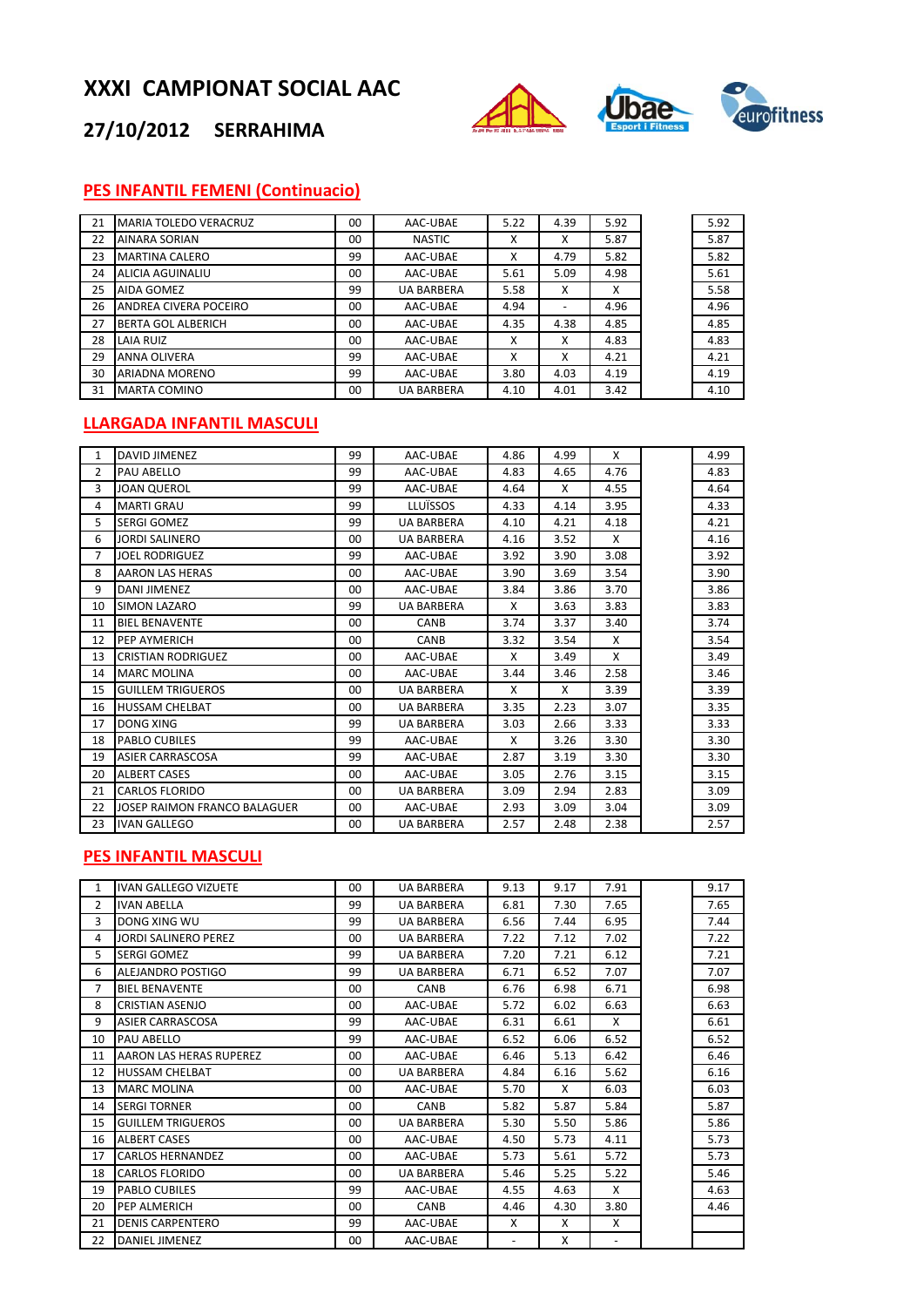

## **27/10/2012 SERRAHIMA**

## **PES INFANTIL FEMENI (Continuacio)**

| 21 | <b>MARIA TOLEDO VERACRUZ</b> | 00             | AAC-UBAE          | 5.22 | 4.39                     | 5.92 | 5.92 |
|----|------------------------------|----------------|-------------------|------|--------------------------|------|------|
| 22 | <b>AINARA SORIAN</b>         | 00             | <b>NASTIC</b>     | x    | x                        | 5.87 | 5.87 |
| 23 | <b>MARTINA CALERO</b>        | 99             | AAC-UBAE          | x    | 4.79                     | 5.82 | 5.82 |
| 24 | ALICIA AGUINALIU             | 0 <sub>0</sub> | AAC-UBAE          | 5.61 | 5.09                     | 4.98 | 5.61 |
| 25 | AIDA GOMEZ                   | 99             | <b>UA BARBERA</b> | 5.58 | x                        | X    | 5.58 |
| 26 | ANDREA CIVERA POCEIRO        | 00             | AAC-UBAE          | 4.94 | $\overline{\phantom{a}}$ | 4.96 | 4.96 |
| 27 | BERTA GOL ALBERICH           | 00             | AAC-UBAE          | 4.35 | 4.38                     | 4.85 | 4.85 |
| 28 | <b>LAIA RUIZ</b>             | 00             | AAC-UBAE          | x    | x                        | 4.83 | 4.83 |
| 29 | <b>ANNA OLIVERA</b>          | 99             | AAC-UBAE          | x    | x                        | 4.21 | 4.21 |
| 30 | ARIADNA MORENO               | 99             | AAC-UBAE          | 3.80 | 4.03                     | 4.19 | 4.19 |
| 31 | <b>MARTA COMINO</b>          | 00             | <b>UA BARBERA</b> | 4.10 | 4.01                     | 3.42 | 4.10 |

## **LLARGADA INFANTIL MASCULI**

| 1              | <b>DAVID JIMENEZ</b>         | 99      | AAC-UBAE          | 4.86 | 4.99 | X    | 4.99 |
|----------------|------------------------------|---------|-------------------|------|------|------|------|
| 2              | <b>PAU ABELLO</b>            | 99      | AAC-UBAE          | 4.83 | 4.65 | 4.76 | 4.83 |
| 3              | <b>JOAN QUEROL</b>           | 99      | AAC-UBAE          | 4.64 | X    | 4.55 | 4.64 |
| 4              | <b>MARTI GRAU</b>            | 99      | LLUÏSSOS          | 4.33 | 4.14 | 3.95 | 4.33 |
| 5              | <b>SERGI GOMEZ</b>           | 99      | <b>UA BARBERA</b> | 4.10 | 4.21 | 4.18 | 4.21 |
| 6              | JORDI SALINERO               | $00 \,$ | <b>UA BARBERA</b> | 4.16 | 3.52 | X    | 4.16 |
| $\overline{7}$ | <b>JOEL RODRIGUEZ</b>        | 99      | AAC-UBAE          | 3.92 | 3.90 | 3.08 | 3.92 |
| 8              | <b>AARON LAS HERAS</b>       | 00      | AAC-UBAE          | 3.90 | 3.69 | 3.54 | 3.90 |
| 9              | <b>DANI JIMENEZ</b>          | 00      | AAC-UBAE          | 3.84 | 3.86 | 3.70 | 3.86 |
| 10             | <b>SIMON LAZARO</b>          | 99      | <b>UA BARBERA</b> | X    | 3.63 | 3.83 | 3.83 |
| 11             | <b>BIEL BENAVENTE</b>        | $00 \,$ | CANB              | 3.74 | 3.37 | 3.40 | 3.74 |
| 12             | <b>PEP AYMERICH</b>          | $00 \,$ | <b>CANB</b>       | 3.32 | 3.54 | X    | 3.54 |
| 13             | <b>CRISTIAN RODRIGUEZ</b>    | $00 \,$ | AAC-UBAE          | X    | 3.49 | X    | 3.49 |
| 14             | <b>MARC MOLINA</b>           | 00      | AAC-UBAE          | 3.44 | 3.46 | 2.58 | 3.46 |
| 15             | <b>GUILLEM TRIGUEROS</b>     | $00 \,$ | <b>UA BARBERA</b> | X    | X    | 3.39 | 3.39 |
| 16             | <b>HUSSAM CHELBAT</b>        | $00 \,$ | <b>UA BARBERA</b> | 3.35 | 2.23 | 3.07 | 3.35 |
| 17             | <b>DONG XING</b>             | 99      | <b>UA BARBERA</b> | 3.03 | 2.66 | 3.33 | 3.33 |
| 18             | <b>PABLO CUBILES</b>         | 99      | AAC-UBAE          | X    | 3.26 | 3.30 | 3.30 |
| 19             | <b>ASIER CARRASCOSA</b>      | 99      | AAC-UBAE          | 2.87 | 3.19 | 3.30 | 3.30 |
| 20             | <b>ALBERT CASES</b>          | 00      | AAC-UBAE          | 3.05 | 2.76 | 3.15 | 3.15 |
| 21             | <b>CARLOS FLORIDO</b>        | $00 \,$ | <b>UA BARBERA</b> | 3.09 | 2.94 | 2.83 | 3.09 |
| 22             | JOSEP RAIMON FRANCO BALAGUER | 00      | AAC-UBAE          | 2.93 | 3.09 | 3.04 | 3.09 |
| 23             | <b>IVAN GALLEGO</b>          | 00      | <b>UA BARBERA</b> | 2.57 | 2.48 | 2.38 | 2.57 |

#### **PES INFANTIL MASCULI**

| 1  | <b>IVAN GALLEGO VIZUETE</b> | $00 \,$         | <b>UA BARBERA</b> | 9.13 | 9.17 | 7.91 | 9.17 |
|----|-----------------------------|-----------------|-------------------|------|------|------|------|
| 2  | <b>IVAN ABELLA</b>          | 99              | <b>UA BARBERA</b> | 6.81 | 7.30 | 7.65 | 7.65 |
| 3  | DONG XING WU                | 99              | <b>UA BARBERA</b> | 6.56 | 7.44 | 6.95 | 7.44 |
| 4  | <b>JORDI SALINERO PEREZ</b> | 00 <sup>1</sup> | <b>UA BARBERA</b> | 7.22 | 7.12 | 7.02 | 7.22 |
| 5. | SERGI GOMEZ                 | 99              | <b>UA BARBERA</b> | 7.20 | 7.21 | 6.12 | 7.21 |
| 6  | ALEJANDRO POSTIGO           | 99              | <b>UA BARBERA</b> | 6.71 | 6.52 | 7.07 | 7.07 |
| 7  | <b>BIEL BENAVENTE</b>       | 00              | <b>CANB</b>       | 6.76 | 6.98 | 6.71 | 6.98 |
| 8  | <b>CRISTIAN ASENJO</b>      | $00 \,$         | AAC-UBAE          | 5.72 | 6.02 | 6.63 | 6.63 |
| 9  | <b>ASIER CARRASCOSA</b>     | 99              | AAC-UBAE          | 6.31 | 6.61 | X    | 6.61 |
| 10 | PAU ABELLO                  | 99              | AAC-UBAE          | 6.52 | 6.06 | 6.52 | 6.52 |
| 11 | AARON LAS HERAS RUPEREZ     | 00              | AAC-UBAE          | 6.46 | 5.13 | 6.42 | 6.46 |
| 12 | <b>HUSSAM CHELBAT</b>       | 00              | <b>UA BARBERA</b> | 4.84 | 6.16 | 5.62 | 6.16 |
| 13 | <b>MARC MOLINA</b>          | $00 \,$         | AAC-UBAE          | 5.70 | X    | 6.03 | 6.03 |
| 14 | <b>SERGI TORNER</b>         | $00 \,$         | CANB              | 5.82 | 5.87 | 5.84 | 5.87 |
| 15 | <b>GUILLEM TRIGUEROS</b>    | 00              | <b>UA BARBERA</b> | 5.30 | 5.50 | 5.86 | 5.86 |
| 16 | <b>ALBERT CASES</b>         | 00              | AAC-UBAE          | 4.50 | 5.73 | 4.11 | 5.73 |
| 17 | <b>CARLOS HERNANDEZ</b>     | 00              | AAC-UBAE          | 5.73 | 5.61 | 5.72 | 5.73 |
| 18 | <b>CARLOS FLORIDO</b>       | $00 \,$         | <b>UA BARBERA</b> | 5.46 | 5.25 | 5.22 | 5.46 |
| 19 | <b>PABLO CUBILES</b>        | 99              | AAC-UBAE          | 4.55 | 4.63 | X    | 4.63 |
| 20 | PEP ALMERICH                | 00              | CANB              | 4.46 | 4.30 | 3.80 | 4.46 |
| 21 | <b>DENIS CARPENTERO</b>     | 99              | AAC-UBAE          | X    | X    | X    |      |
| 22 | DANIEL JIMENEZ              | 00              | AAC-UBAE          |      | х    | ٠    |      |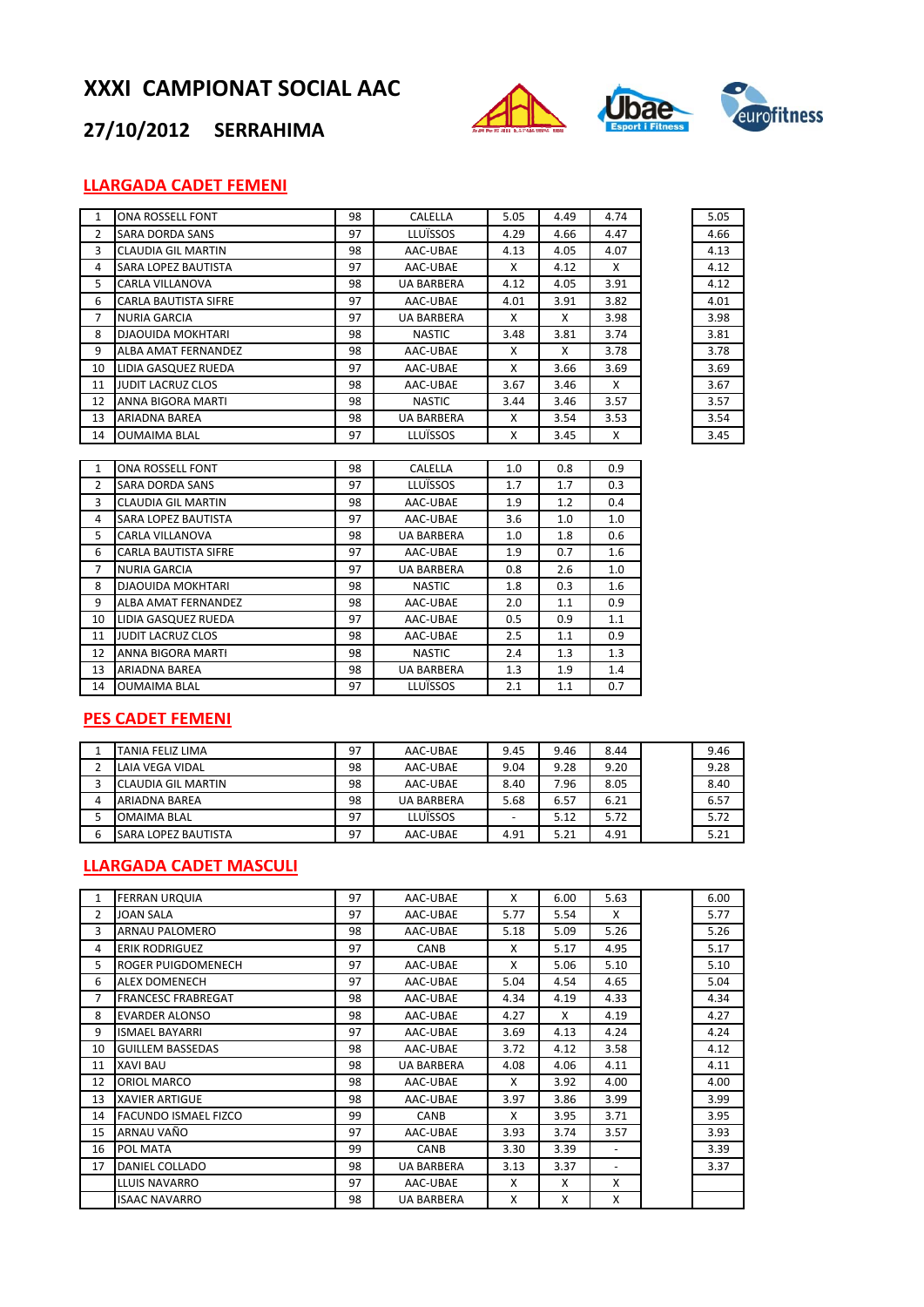

## **27/10/2012 SERRAHIMA**

## **LLARGADA CADET FEMENI**

| $\mathbf{1}$ | ONA ROSSELL FONT            | 98 | CALELLA           | 5.05 | 4.49 | 4.74 | 5.05 |
|--------------|-----------------------------|----|-------------------|------|------|------|------|
| 2            | <b>SARA DORDA SANS</b>      | 97 | <b>LLUÏSSOS</b>   | 4.29 | 4.66 | 4.47 | 4.66 |
| 3            | <b>CLAUDIA GIL MARTIN</b>   | 98 | AAC-UBAE          | 4.13 | 4.05 | 4.07 | 4.13 |
| 4            | SARA LOPEZ BAUTISTA         | 97 | AAC-UBAE          | X    | 4.12 | X    | 4.12 |
| 5            | <b>CARLA VILLANOVA</b>      | 98 | <b>UA BARBERA</b> | 4.12 | 4.05 | 3.91 | 4.12 |
| 6            | <b>CARLA BAUTISTA SIFRE</b> | 97 | AAC-UBAE          | 4.01 | 3.91 | 3.82 | 4.01 |
| 7            | <b>NURIA GARCIA</b>         | 97 | <b>UA BARBERA</b> | X    | X    | 3.98 | 3.98 |
| 8            | <b>DJAOUIDA MOKHTARI</b>    | 98 | <b>NASTIC</b>     | 3.48 | 3.81 | 3.74 | 3.81 |
| 9            | ALBA AMAT FERNANDEZ         | 98 | AAC-UBAE          | X    | X    | 3.78 | 3.78 |
| 10           | LIDIA GASQUEZ RUEDA         | 97 | AAC-UBAE          | X    | 3.66 | 3.69 | 3.69 |
| 11           | <b>JUDIT LACRUZ CLOS</b>    | 98 | AAC-UBAE          | 3.67 | 3.46 | X    | 3.67 |
| 12           | ANNA BIGORA MARTI           | 98 | <b>NASTIC</b>     | 3.44 | 3.46 | 3.57 | 3.57 |
| 13           | <b>ARIADNA BAREA</b>        | 98 | <b>UA BARBERA</b> | X    | 3.54 | 3.53 | 3.54 |
| 14           | <b>OUMAIMA BLAL</b>         | 97 | <b>LLUÏSSOS</b>   | X    | 3.45 | Χ    | 3.45 |
|              |                             |    |                   |      |      |      |      |

| 5.05 |
|------|
| 4.66 |
| 4.13 |
| 4.12 |
| 4.12 |
| 4.01 |
| 3.98 |
| 3.81 |
| 3.78 |
| 3.69 |
| 3.67 |
| 3.57 |
| 3.54 |
| 3.45 |

| 1              | ONA ROSSELL FONT            | 98 | CALELLA           | 1.0 | 0.8 | 0.9 |
|----------------|-----------------------------|----|-------------------|-----|-----|-----|
| $\overline{2}$ | <b>SARA DORDA SANS</b>      | 97 | LLUÏSSOS          | 1.7 | 1.7 | 0.3 |
| 3              | <b>CLAUDIA GIL MARTIN</b>   | 98 | AAC-UBAE          | 1.9 | 1.2 | 0.4 |
| 4              | SARA LOPEZ BAUTISTA         | 97 | AAC-UBAE          | 3.6 | 1.0 | 1.0 |
| 5              | <b>CARLA VILLANOVA</b>      | 98 | <b>UA BARBERA</b> | 1.0 | 1.8 | 0.6 |
| 6              | <b>CARLA BAUTISTA SIFRE</b> | 97 | AAC-UBAE          | 1.9 | 0.7 | 1.6 |
| $\overline{7}$ | <b>NURIA GARCIA</b>         | 97 | <b>UA BARBERA</b> | 0.8 | 2.6 | 1.0 |
| 8              | <b>DJAOUIDA MOKHTARI</b>    | 98 | <b>NASTIC</b>     | 1.8 | 0.3 | 1.6 |
| 9              | ALBA AMAT FERNANDEZ         | 98 | AAC-UBAE          | 2.0 | 1.1 | 0.9 |
| 10             | LIDIA GASQUEZ RUEDA         | 97 | AAC-UBAE          | 0.5 | 0.9 | 1.1 |
| 11             | <b>JUDIT LACRUZ CLOS</b>    | 98 | AAC-UBAE          | 2.5 | 1.1 | 0.9 |
| 12             | ANNA BIGORA MARTI           | 98 | <b>NASTIC</b>     | 2.4 | 1.3 | 1.3 |
| 13             | ARIADNA BAREA               | 98 | <b>UA BARBERA</b> | 1.3 | 1.9 | 1.4 |
| 14             | <b>OUMAIMA BLAL</b>         | 97 | LLUÏSSOS          | 2.1 | 1.1 | 0.7 |
|                |                             |    |                   |     |     |     |

### **PES CADET FEMENI**

|   | TANIA FELIZ LIMA           | 97 | AAC-UBAE          | 9.45 | 9.46 | 8.44 | 9.46 |
|---|----------------------------|----|-------------------|------|------|------|------|
|   | LAIA VEGA VIDAL            | 98 | AAC-UBAE          | 9.04 | 9.28 | 9.20 | 9.28 |
|   | CLAUDIA GIL MARTIN         | 98 | AAC-UBAE          | 8.40 | 7.96 | 8.05 | 8.40 |
| 4 | ARIADNA BAREA              | 98 | <b>UA BARBERA</b> | 5.68 | 6.57 | 6.21 | 6.57 |
|   | <b>OMAIMA BLAL</b>         | 97 | LLUÏSSOS          |      | 5.12 | 5.72 | 5.72 |
| 6 | <b>SARA LOPEZ BAUTISTA</b> | 97 | AAC-UBAE          | 4.91 | 5.21 | 4.91 | 5.21 |

### **LLARGADA CADET MASCULI**

| 1  | <b>FERRAN URQUIA</b>        | 97 | AAC-UBAE          | X    | 6.00 | 5.63                     | 6.00 |
|----|-----------------------------|----|-------------------|------|------|--------------------------|------|
| 2  | <b>JOAN SALA</b>            | 97 | AAC-UBAE          | 5.77 | 5.54 | X                        | 5.77 |
| 3  | ARNAU PALOMERO              | 98 | AAC-UBAE          | 5.18 | 5.09 | 5.26                     | 5.26 |
| 4  | <b>ERIK RODRIGUEZ</b>       | 97 | <b>CANB</b>       | X    | 5.17 | 4.95                     | 5.17 |
| 5  | ROGER PUIGDOMENECH          | 97 | AAC-UBAE          | X    | 5.06 | 5.10                     | 5.10 |
| 6  | <b>ALEX DOMENECH</b>        | 97 | AAC-UBAE          | 5.04 | 4.54 | 4.65                     | 5.04 |
| 7  | <b>FRANCESC FRABREGAT</b>   | 98 | AAC-UBAE          | 4.34 | 4.19 | 4.33                     | 4.34 |
| 8  | EVARDER ALONSO              | 98 | AAC-UBAE          | 4.27 | X    | 4.19                     | 4.27 |
| 9  | <b>ISMAEL BAYARRI</b>       | 97 | AAC-UBAE          | 3.69 | 4.13 | 4.24                     | 4.24 |
| 10 | <b>GUILLEM BASSEDAS</b>     | 98 | AAC-UBAE          | 3.72 | 4.12 | 3.58                     | 4.12 |
| 11 | <b>XAVI BAU</b>             | 98 | <b>UA BARBERA</b> | 4.08 | 4.06 | 4.11                     | 4.11 |
| 12 | ORIOL MARCO                 | 98 | AAC-UBAE          | X    | 3.92 | 4.00                     | 4.00 |
| 13 | <b>XAVIER ARTIGUE</b>       | 98 | AAC-UBAE          | 3.97 | 3.86 | 3.99                     | 3.99 |
| 14 | <b>FACUNDO ISMAEL FIZCO</b> | 99 | <b>CANB</b>       | X    | 3.95 | 3.71                     | 3.95 |
| 15 | ARNAU VAÑO                  | 97 | AAC-UBAE          | 3.93 | 3.74 | 3.57                     | 3.93 |
| 16 | POL MATA                    | 99 | <b>CANB</b>       | 3.30 | 3.39 | $\overline{\phantom{a}}$ | 3.39 |
| 17 | DANIEL COLLADO              | 98 | <b>UA BARBERA</b> | 3.13 | 3.37 | -                        | 3.37 |
|    | LLUIS NAVARRO               | 97 | AAC-UBAE          | X    | X    | X                        |      |
|    | <b>ISAAC NAVARRO</b>        | 98 | <b>UA BARBERA</b> | X    | X    | X                        |      |